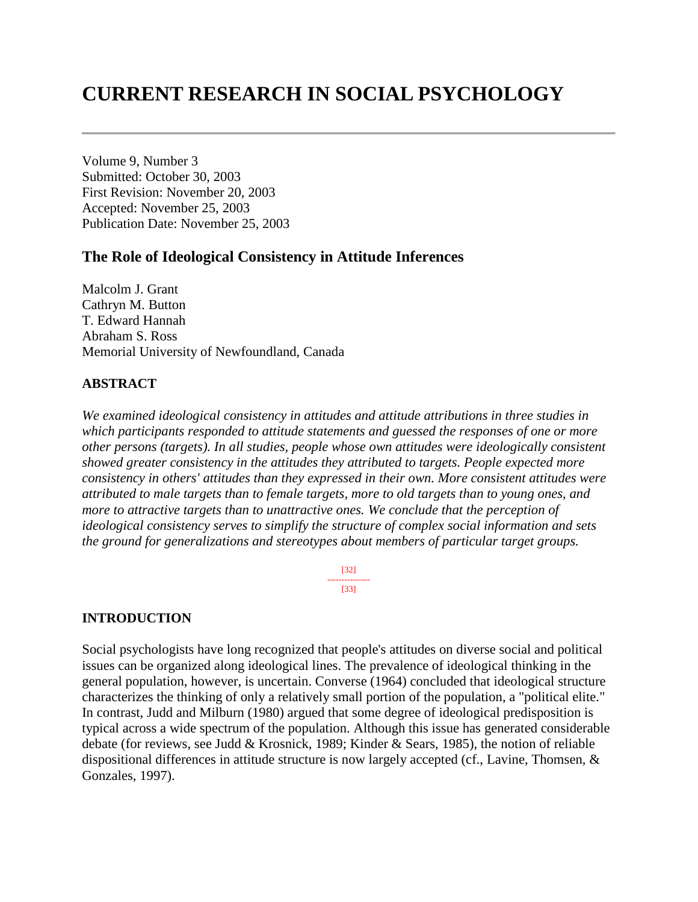# **CURRENT RESEARCH IN SOCIAL PSYCHOLOGY**

Volume 9, Number 3 Submitted: October 30, 2003 First Revision: November 20, 2003 Accepted: November 25, 2003 Publication Date: November 25, 2003

### **The Role of Ideological Consistency in Attitude Inferences**

Malcolm J. Grant Cathryn M. Button T. Edward Hannah Abraham S. Ross Memorial University of Newfoundland, Canada

#### **ABSTRACT**

*We examined ideological consistency in attitudes and attitude attributions in three studies in which participants responded to attitude statements and guessed the responses of one or more other persons (targets). In all studies, people whose own attitudes were ideologically consistent showed greater consistency in the attitudes they attributed to targets. People expected more consistency in others' attitudes than they expressed in their own. More consistent attitudes were attributed to male targets than to female targets, more to old targets than to young ones, and more to attractive targets than to unattractive ones. We conclude that the perception of ideological consistency serves to simplify the structure of complex social information and sets the ground for generalizations and stereotypes about members of particular target groups.* 

> [32] --------------- [33]

#### **INTRODUCTION**

Social psychologists have long recognized that people's attitudes on diverse social and political issues can be organized along ideological lines. The prevalence of ideological thinking in the general population, however, is uncertain. Converse (1964) concluded that ideological structure characterizes the thinking of only a relatively small portion of the population, a "political elite." In contrast, Judd and Milburn (1980) argued that some degree of ideological predisposition is typical across a wide spectrum of the population. Although this issue has generated considerable debate (for reviews, see Judd & Krosnick, 1989; Kinder & Sears, 1985), the notion of reliable dispositional differences in attitude structure is now largely accepted (cf., Lavine, Thomsen, & Gonzales, 1997).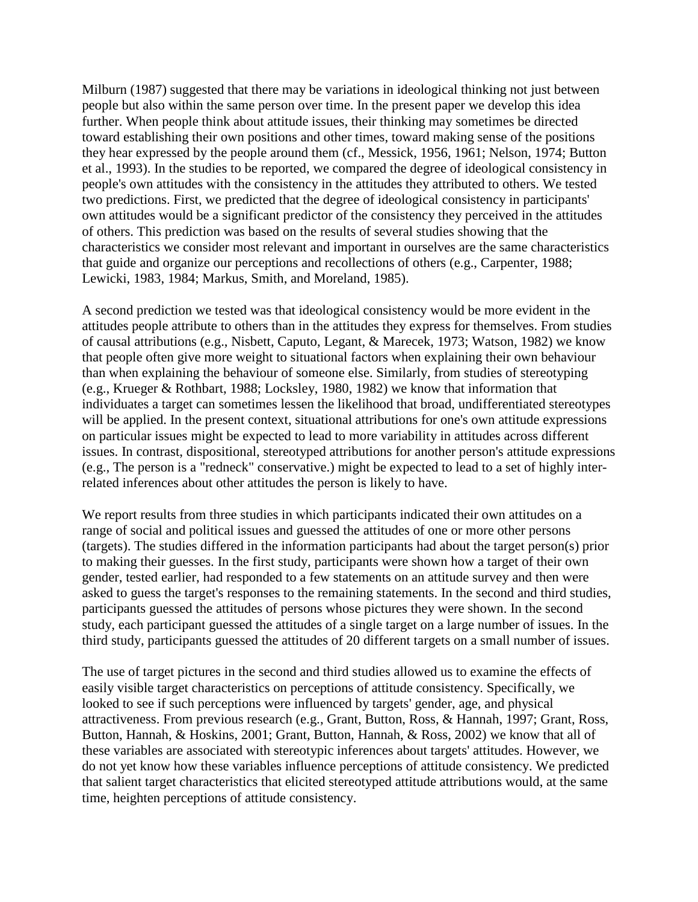Milburn (1987) suggested that there may be variations in ideological thinking not just between people but also within the same person over time. In the present paper we develop this idea further. When people think about attitude issues, their thinking may sometimes be directed toward establishing their own positions and other times, toward making sense of the positions they hear expressed by the people around them (cf., Messick, 1956, 1961; Nelson, 1974; Button et al., 1993). In the studies to be reported, we compared the degree of ideological consistency in people's own attitudes with the consistency in the attitudes they attributed to others. We tested two predictions. First, we predicted that the degree of ideological consistency in participants' own attitudes would be a significant predictor of the consistency they perceived in the attitudes of others. This prediction was based on the results of several studies showing that the characteristics we consider most relevant and important in ourselves are the same characteristics that guide and organize our perceptions and recollections of others (e.g., Carpenter, 1988; Lewicki, 1983, 1984; Markus, Smith, and Moreland, 1985).

A second prediction we tested was that ideological consistency would be more evident in the attitudes people attribute to others than in the attitudes they express for themselves. From studies of causal attributions (e.g., Nisbett, Caputo, Legant, & Marecek, 1973; Watson, 1982) we know that people often give more weight to situational factors when explaining their own behaviour than when explaining the behaviour of someone else. Similarly, from studies of stereotyping (e.g., Krueger & Rothbart, 1988; Locksley, 1980, 1982) we know that information that individuates a target can sometimes lessen the likelihood that broad, undifferentiated stereotypes will be applied. In the present context, situational attributions for one's own attitude expressions on particular issues might be expected to lead to more variability in attitudes across different issues. In contrast, dispositional, stereotyped attributions for another person's attitude expressions (e.g., The person is a "redneck" conservative.) might be expected to lead to a set of highly interrelated inferences about other attitudes the person is likely to have.

We report results from three studies in which participants indicated their own attitudes on a range of social and political issues and guessed the attitudes of one or more other persons (targets). The studies differed in the information participants had about the target person(s) prior to making their guesses. In the first study, participants were shown how a target of their own gender, tested earlier, had responded to a few statements on an attitude survey and then were asked to guess the target's responses to the remaining statements. In the second and third studies, participants guessed the attitudes of persons whose pictures they were shown. In the second study, each participant guessed the attitudes of a single target on a large number of issues. In the third study, participants guessed the attitudes of 20 different targets on a small number of issues.

The use of target pictures in the second and third studies allowed us to examine the effects of easily visible target characteristics on perceptions of attitude consistency. Specifically, we looked to see if such perceptions were influenced by targets' gender, age, and physical attractiveness. From previous research (e.g., Grant, Button, Ross, & Hannah, 1997; Grant, Ross, Button, Hannah, & Hoskins, 2001; Grant, Button, Hannah, & Ross, 2002) we know that all of these variables are associated with stereotypic inferences about targets' attitudes. However, we do not yet know how these variables influence perceptions of attitude consistency. We predicted that salient target characteristics that elicited stereotyped attitude attributions would, at the same time, heighten perceptions of attitude consistency.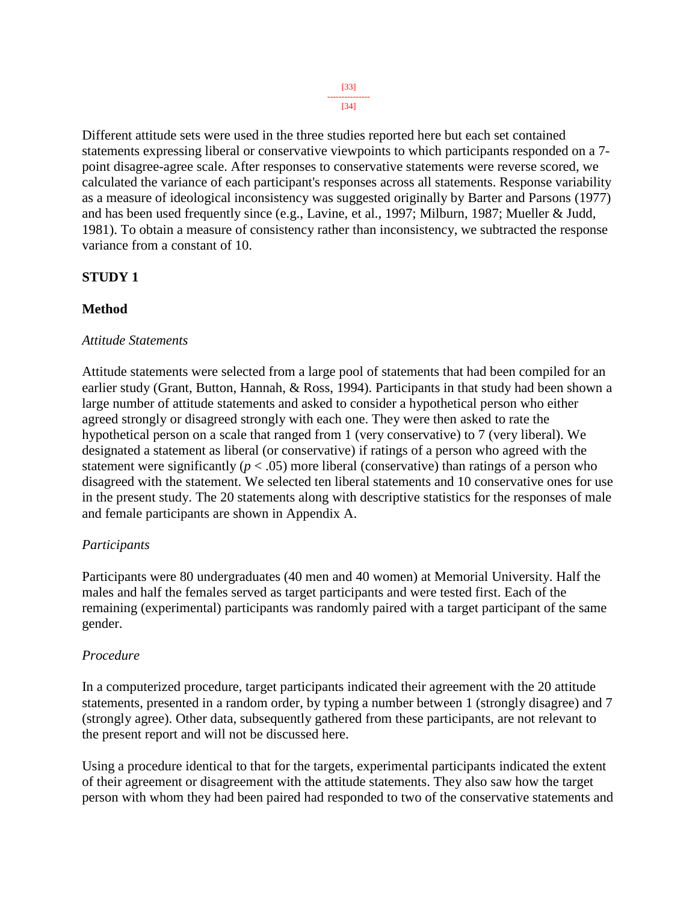[34]

Different attitude sets were used in the three studies reported here but each set contained statements expressing liberal or conservative viewpoints to which participants responded on a 7 point disagree-agree scale. After responses to conservative statements were reverse scored, we calculated the variance of each participant's responses across all statements. Response variability as a measure of ideological inconsistency was suggested originally by Barter and Parsons (1977) and has been used frequently since (e.g., Lavine, et al., 1997; Milburn, 1987; Mueller & Judd, 1981). To obtain a measure of consistency rather than inconsistency, we subtracted the response variance from a constant of 10.

### **STUDY 1**

### **Method**

#### *Attitude Statements*

Attitude statements were selected from a large pool of statements that had been compiled for an earlier study (Grant, Button, Hannah, & Ross, 1994). Participants in that study had been shown a large number of attitude statements and asked to consider a hypothetical person who either agreed strongly or disagreed strongly with each one. They were then asked to rate the hypothetical person on a scale that ranged from 1 (very conservative) to 7 (very liberal). We designated a statement as liberal (or conservative) if ratings of a person who agreed with the statement were significantly  $(p < .05)$  more liberal (conservative) than ratings of a person who disagreed with the statement. We selected ten liberal statements and 10 conservative ones for use in the present study. The 20 statements along with descriptive statistics for the responses of male and female participants are shown in Appendix A.

#### *Participants*

Participants were 80 undergraduates (40 men and 40 women) at Memorial University. Half the males and half the females served as target participants and were tested first. Each of the remaining (experimental) participants was randomly paired with a target participant of the same gender.

#### *Procedure*

In a computerized procedure, target participants indicated their agreement with the 20 attitude statements, presented in a random order, by typing a number between 1 (strongly disagree) and 7 (strongly agree). Other data, subsequently gathered from these participants, are not relevant to the present report and will not be discussed here.

Using a procedure identical to that for the targets, experimental participants indicated the extent of their agreement or disagreement with the attitude statements. They also saw how the target person with whom they had been paired had responded to two of the conservative statements and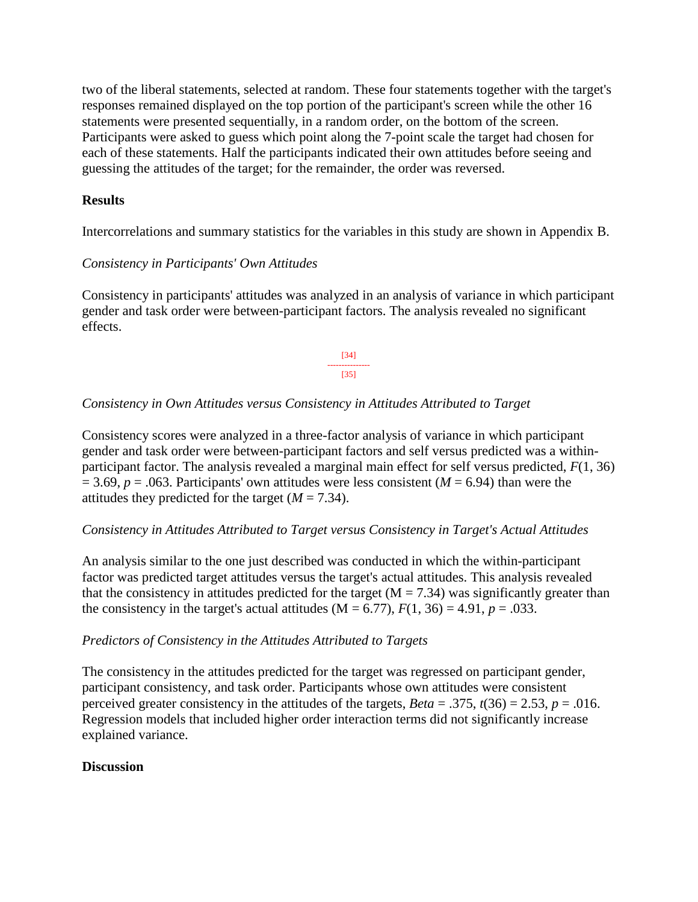two of the liberal statements, selected at random. These four statements together with the target's responses remained displayed on the top portion of the participant's screen while the other 16 statements were presented sequentially, in a random order, on the bottom of the screen. Participants were asked to guess which point along the 7-point scale the target had chosen for each of these statements. Half the participants indicated their own attitudes before seeing and guessing the attitudes of the target; for the remainder, the order was reversed.

#### **Results**

Intercorrelations and summary statistics for the variables in this study are shown in Appendix B.

### *Consistency in Participants' Own Attitudes*

Consistency in participants' attitudes was analyzed in an analysis of variance in which participant gender and task order were between-participant factors. The analysis revealed no significant effects.

> [34] --------------- [35]

### *Consistency in Own Attitudes versus Consistency in Attitudes Attributed to Target*

Consistency scores were analyzed in a three-factor analysis of variance in which participant gender and task order were between-participant factors and self versus predicted was a withinparticipant factor. The analysis revealed a marginal main effect for self versus predicted, *F*(1, 36)  $= 3.69, p = .063$ . Participants' own attitudes were less consistent ( $M = 6.94$ ) than were the attitudes they predicted for the target  $(M = 7.34)$ .

#### *Consistency in Attitudes Attributed to Target versus Consistency in Target's Actual Attitudes*

An analysis similar to the one just described was conducted in which the within-participant factor was predicted target attitudes versus the target's actual attitudes. This analysis revealed that the consistency in attitudes predicted for the target  $(M = 7.34)$  was significantly greater than the consistency in the target's actual attitudes  $(M = 6.77)$ ,  $F(1, 36) = 4.91$ ,  $p = .033$ .

#### *Predictors of Consistency in the Attitudes Attributed to Targets*

The consistency in the attitudes predicted for the target was regressed on participant gender, participant consistency, and task order. Participants whose own attitudes were consistent perceived greater consistency in the attitudes of the targets,  $Beta = .375$ ,  $t(36) = 2.53$ ,  $p = .016$ . Regression models that included higher order interaction terms did not significantly increase explained variance.

#### **Discussion**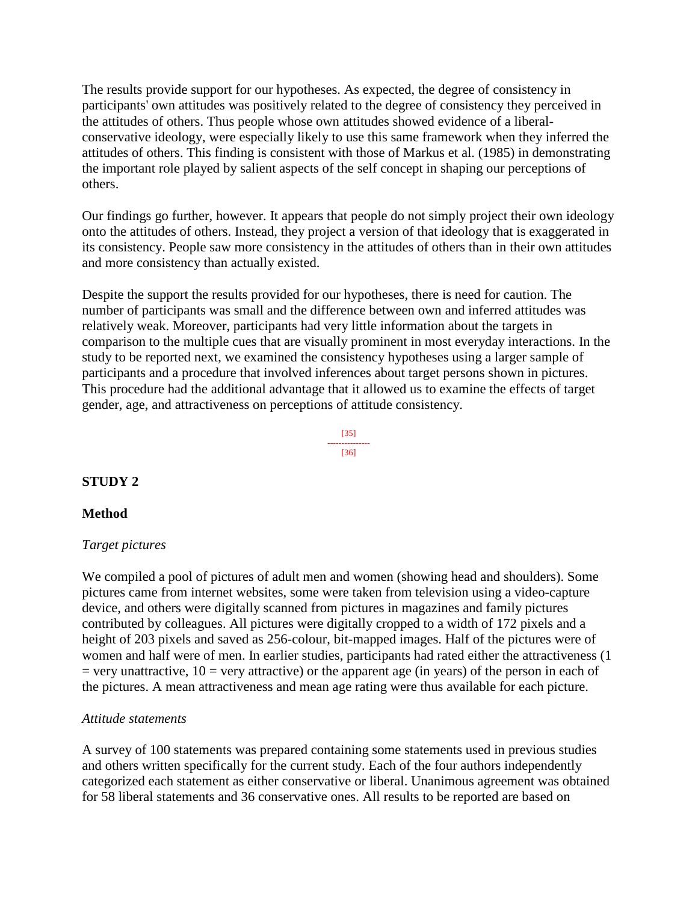The results provide support for our hypotheses. As expected, the degree of consistency in participants' own attitudes was positively related to the degree of consistency they perceived in the attitudes of others. Thus people whose own attitudes showed evidence of a liberalconservative ideology, were especially likely to use this same framework when they inferred the attitudes of others. This finding is consistent with those of Markus et al. (1985) in demonstrating the important role played by salient aspects of the self concept in shaping our perceptions of others.

Our findings go further, however. It appears that people do not simply project their own ideology onto the attitudes of others. Instead, they project a version of that ideology that is exaggerated in its consistency. People saw more consistency in the attitudes of others than in their own attitudes and more consistency than actually existed.

Despite the support the results provided for our hypotheses, there is need for caution. The number of participants was small and the difference between own and inferred attitudes was relatively weak. Moreover, participants had very little information about the targets in comparison to the multiple cues that are visually prominent in most everyday interactions. In the study to be reported next, we examined the consistency hypotheses using a larger sample of participants and a procedure that involved inferences about target persons shown in pictures. This procedure had the additional advantage that it allowed us to examine the effects of target gender, age, and attractiveness on perceptions of attitude consistency.



### **STUDY 2**

#### **Method**

#### *Target pictures*

We compiled a pool of pictures of adult men and women (showing head and shoulders). Some pictures came from internet websites, some were taken from television using a video-capture device, and others were digitally scanned from pictures in magazines and family pictures contributed by colleagues. All pictures were digitally cropped to a width of 172 pixels and a height of 203 pixels and saved as 256-colour, bit-mapped images. Half of the pictures were of women and half were of men. In earlier studies, participants had rated either the attractiveness (1  $=$  very unattractive, 10  $=$  very attractive) or the apparent age (in years) of the person in each of the pictures. A mean attractiveness and mean age rating were thus available for each picture.

#### *Attitude statements*

A survey of 100 statements was prepared containing some statements used in previous studies and others written specifically for the current study. Each of the four authors independently categorized each statement as either conservative or liberal. Unanimous agreement was obtained for 58 liberal statements and 36 conservative ones. All results to be reported are based on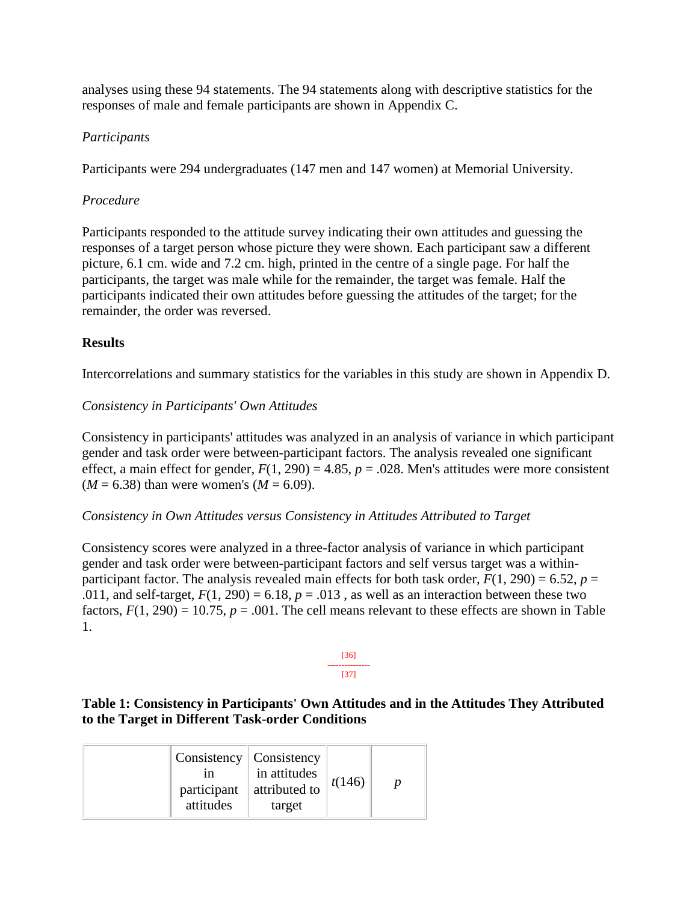analyses using these 94 statements. The 94 statements along with descriptive statistics for the responses of male and female participants are shown in Appendix C.

### *Participants*

Participants were 294 undergraduates (147 men and 147 women) at Memorial University.

### *Procedure*

Participants responded to the attitude survey indicating their own attitudes and guessing the responses of a target person whose picture they were shown. Each participant saw a different picture, 6.1 cm. wide and 7.2 cm. high, printed in the centre of a single page. For half the participants, the target was male while for the remainder, the target was female. Half the participants indicated their own attitudes before guessing the attitudes of the target; for the remainder, the order was reversed.

### **Results**

Intercorrelations and summary statistics for the variables in this study are shown in Appendix D.

### *Consistency in Participants' Own Attitudes*

Consistency in participants' attitudes was analyzed in an analysis of variance in which participant gender and task order were between-participant factors. The analysis revealed one significant effect, a main effect for gender,  $F(1, 290) = 4.85$ ,  $p = .028$ . Men's attitudes were more consistent  $(M = 6.38)$  than were women's  $(M = 6.09)$ .

#### *Consistency in Own Attitudes versus Consistency in Attitudes Attributed to Target*

Consistency scores were analyzed in a three-factor analysis of variance in which participant gender and task order were between-participant factors and self versus target was a withinparticipant factor. The analysis revealed main effects for both task order,  $F(1, 290) = 6.52$ ,  $p =$ .011, and self-target,  $F(1, 290) = 6.18$ ,  $p = .013$ , as well as an interaction between these two factors,  $F(1, 290) = 10.75$ ,  $p = .001$ . The cell means relevant to these effects are shown in Table 1.



### **Table 1: Consistency in Participants' Own Attitudes and in the Attitudes They Attributed to the Target in Different Task-order Conditions**

|  | Consistency   Consistency<br>1n<br>participant<br>attitudes | in attitudes<br>attributed to<br>target | t(146) |  |
|--|-------------------------------------------------------------|-----------------------------------------|--------|--|
|--|-------------------------------------------------------------|-----------------------------------------|--------|--|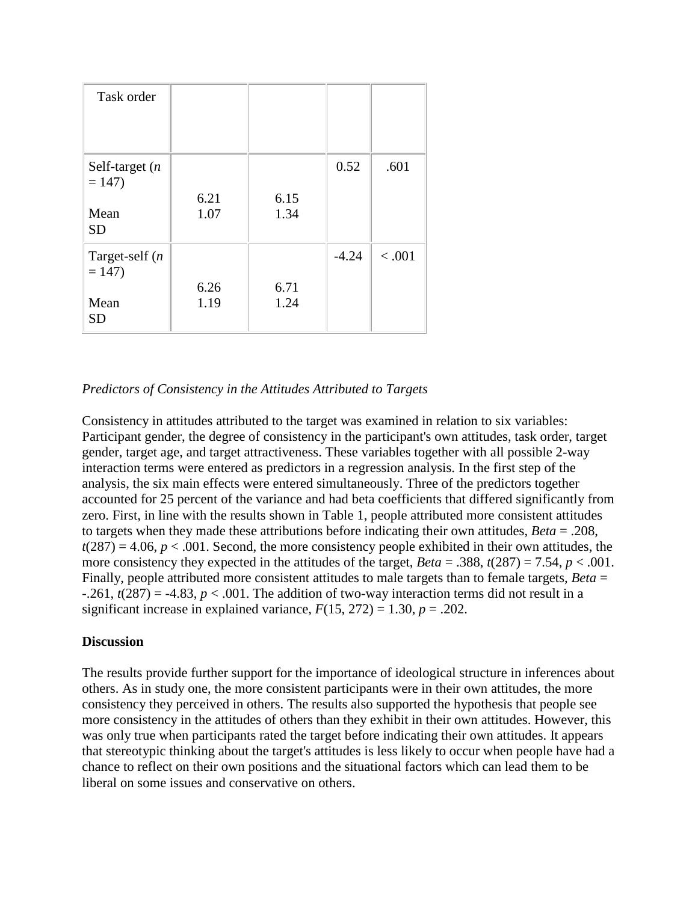| Task order                                        |              |              |         |        |
|---------------------------------------------------|--------------|--------------|---------|--------|
| Self-target $(n)$<br>$= 147$<br>Mean<br><b>SD</b> | 6.21<br>1.07 | 6.15<br>1.34 | 0.52    | .601   |
| Target-self $(n)$<br>$= 147$<br>Mean<br><b>SD</b> | 6.26<br>1.19 | 6.71<br>1.24 | $-4.24$ | < .001 |

### *Predictors of Consistency in the Attitudes Attributed to Targets*

Consistency in attitudes attributed to the target was examined in relation to six variables: Participant gender, the degree of consistency in the participant's own attitudes, task order, target gender, target age, and target attractiveness. These variables together with all possible 2-way interaction terms were entered as predictors in a regression analysis. In the first step of the analysis, the six main effects were entered simultaneously. Three of the predictors together accounted for 25 percent of the variance and had beta coefficients that differed significantly from zero. First, in line with the results shown in Table 1, people attributed more consistent attitudes to targets when they made these attributions before indicating their own attitudes, *Beta* = .208,  $t(287) = 4.06$ ,  $p < .001$ . Second, the more consistency people exhibited in their own attitudes, the more consistency they expected in the attitudes of the target,  $Beta = .388$ ,  $t(287) = 7.54$ ,  $p < .001$ . Finally, people attributed more consistent attitudes to male targets than to female targets, *Beta* =  $-0.261$ ,  $t(287) = -4.83$ ,  $p < .001$ . The addition of two-way interaction terms did not result in a significant increase in explained variance,  $F(15, 272) = 1.30$ ,  $p = .202$ .

### **Discussion**

The results provide further support for the importance of ideological structure in inferences about others. As in study one, the more consistent participants were in their own attitudes, the more consistency they perceived in others. The results also supported the hypothesis that people see more consistency in the attitudes of others than they exhibit in their own attitudes. However, this was only true when participants rated the target before indicating their own attitudes. It appears that stereotypic thinking about the target's attitudes is less likely to occur when people have had a chance to reflect on their own positions and the situational factors which can lead them to be liberal on some issues and conservative on others.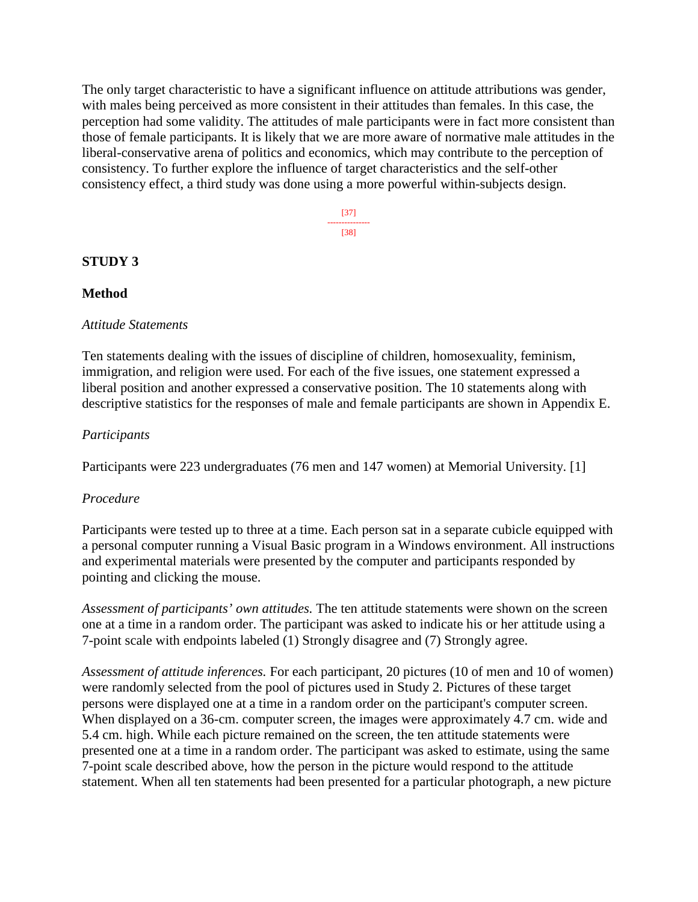The only target characteristic to have a significant influence on attitude attributions was gender, with males being perceived as more consistent in their attitudes than females. In this case, the perception had some validity. The attitudes of male participants were in fact more consistent than those of female participants. It is likely that we are more aware of normative male attitudes in the liberal-conservative arena of politics and economics, which may contribute to the perception of consistency. To further explore the influence of target characteristics and the self-other consistency effect, a third study was done using a more powerful within-subjects design.

> [37] --------------- [38]

#### **STUDY 3**

#### **Method**

#### *Attitude Statements*

Ten statements dealing with the issues of discipline of children, homosexuality, feminism, immigration, and religion were used. For each of the five issues, one statement expressed a liberal position and another expressed a conservative position. The 10 statements along with descriptive statistics for the responses of male and female participants are shown in Appendix E.

#### *Participants*

Participants were 223 undergraduates (76 men and 147 women) at Memorial University. [1]

#### *Procedure*

Participants were tested up to three at a time. Each person sat in a separate cubicle equipped with a personal computer running a Visual Basic program in a Windows environment. All instructions and experimental materials were presented by the computer and participants responded by pointing and clicking the mouse.

*Assessment of participants' own attitudes.* The ten attitude statements were shown on the screen one at a time in a random order. The participant was asked to indicate his or her attitude using a 7-point scale with endpoints labeled (1) Strongly disagree and (7) Strongly agree.

*Assessment of attitude inferences.* For each participant, 20 pictures (10 of men and 10 of women) were randomly selected from the pool of pictures used in Study 2. Pictures of these target persons were displayed one at a time in a random order on the participant's computer screen. When displayed on a 36-cm. computer screen, the images were approximately 4.7 cm. wide and 5.4 cm. high. While each picture remained on the screen, the ten attitude statements were presented one at a time in a random order. The participant was asked to estimate, using the same 7-point scale described above, how the person in the picture would respond to the attitude statement. When all ten statements had been presented for a particular photograph, a new picture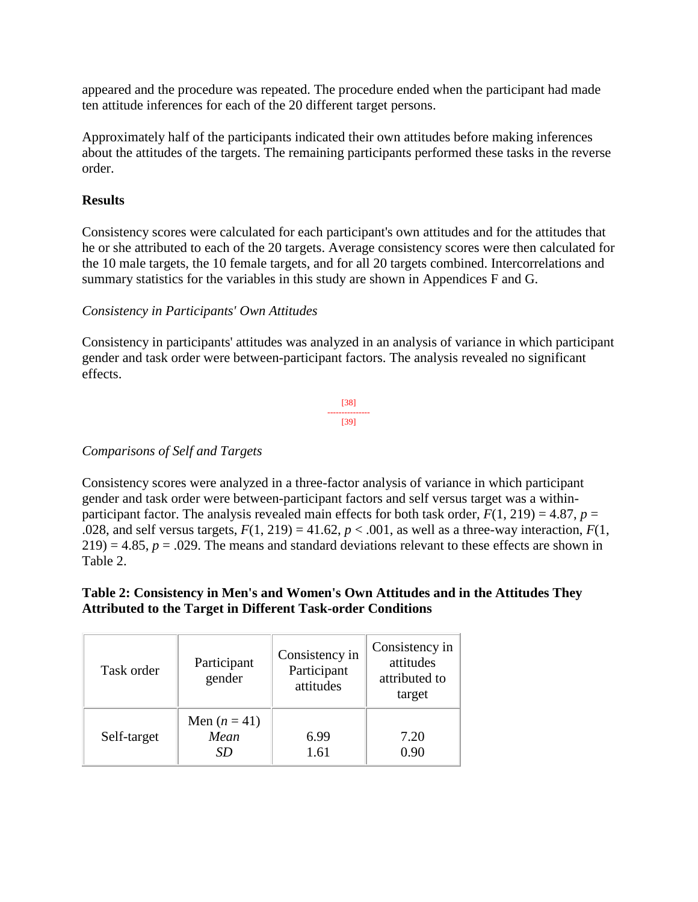appeared and the procedure was repeated. The procedure ended when the participant had made ten attitude inferences for each of the 20 different target persons.

Approximately half of the participants indicated their own attitudes before making inferences about the attitudes of the targets. The remaining participants performed these tasks in the reverse order.

### **Results**

Consistency scores were calculated for each participant's own attitudes and for the attitudes that he or she attributed to each of the 20 targets. Average consistency scores were then calculated for the 10 male targets, the 10 female targets, and for all 20 targets combined. Intercorrelations and summary statistics for the variables in this study are shown in Appendices F and G.

### *Consistency in Participants' Own Attitudes*

Consistency in participants' attitudes was analyzed in an analysis of variance in which participant gender and task order were between-participant factors. The analysis revealed no significant effects.



# *Comparisons of Self and Targets*

Consistency scores were analyzed in a three-factor analysis of variance in which participant gender and task order were between-participant factors and self versus target was a withinparticipant factor. The analysis revealed main effects for both task order,  $F(1, 219) = 4.87$ ,  $p =$ .028, and self versus targets,  $F(1, 219) = 41.62$ ,  $p < .001$ , as well as a three-way interaction,  $F(1, 219) = .001$  $219$ ) = 4.85,  $p = .029$ . The means and standard deviations relevant to these effects are shown in Table 2.

### **Table 2: Consistency in Men's and Women's Own Attitudes and in the Attitudes They Attributed to the Target in Different Task-order Conditions**

| Task order  | Participant<br>gender      | Consistency in<br>Participant<br>attitudes | Consistency in<br>attitudes<br>attributed to<br>target |  |
|-------------|----------------------------|--------------------------------------------|--------------------------------------------------------|--|
| Self-target | Men $(n=41)$<br>Mean<br>SD | 6.99<br>1.61                               | 7.20<br>0.90                                           |  |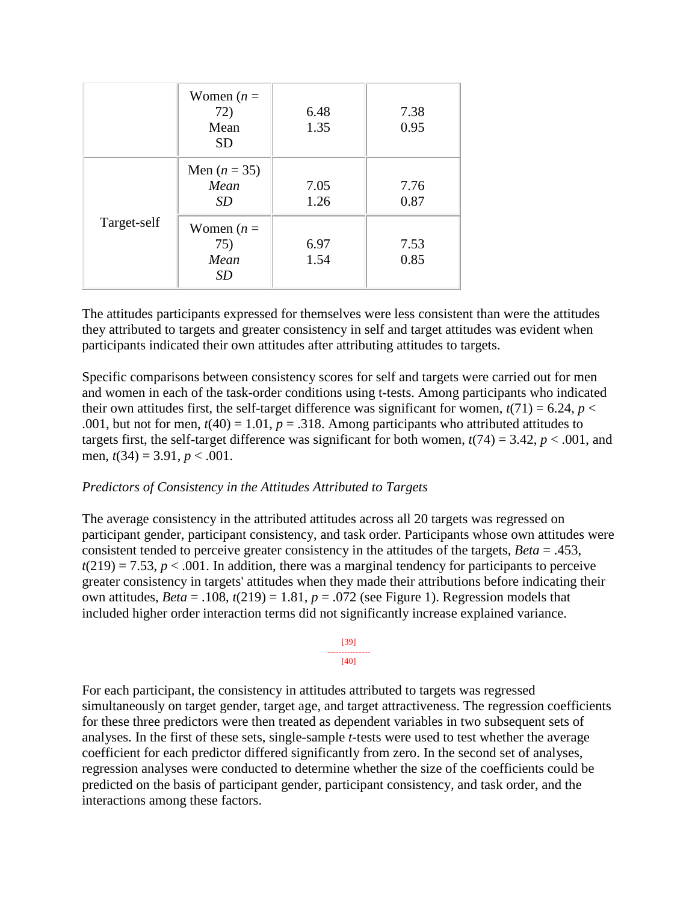|             | Women $(n =$<br>72)<br>Mean<br><b>SD</b> | 6.48<br>1.35 | 7.38<br>0.95 |
|-------------|------------------------------------------|--------------|--------------|
|             | Men $(n = 35)$<br>Mean<br>SD             | 7.05<br>1.26 | 7.76<br>0.87 |
| Target-self | Women $(n =$<br>75)<br>Mean<br><i>SD</i> | 6.97<br>1.54 | 7.53<br>0.85 |

The attitudes participants expressed for themselves were less consistent than were the attitudes they attributed to targets and greater consistency in self and target attitudes was evident when participants indicated their own attitudes after attributing attitudes to targets.

Specific comparisons between consistency scores for self and targets were carried out for men and women in each of the task-order conditions using t-tests. Among participants who indicated their own attitudes first, the self-target difference was significant for women,  $t(71) = 6.24$ ,  $p <$ .001, but not for men,  $t(40) = 1.01$ ,  $p = .318$ . Among participants who attributed attitudes to targets first, the self-target difference was significant for both women,  $t(74) = 3.42$ ,  $p < .001$ , and men, *t*(34) = 3.91, *p* < .001.

#### *Predictors of Consistency in the Attitudes Attributed to Targets*

The average consistency in the attributed attitudes across all 20 targets was regressed on participant gender, participant consistency, and task order. Participants whose own attitudes were consistent tended to perceive greater consistency in the attitudes of the targets, *Beta* = .453,  $t(219) = 7.53$ ,  $p < .001$ . In addition, there was a marginal tendency for participants to perceive greater consistency in targets' attitudes when they made their attributions before indicating their own attitudes,  $Beta = .108$ ,  $t(219) = 1.81$ ,  $p = .072$  (see Figure 1). Regression models that included higher order interaction terms did not significantly increase explained variance.



For each participant, the consistency in attitudes attributed to targets was regressed simultaneously on target gender, target age, and target attractiveness. The regression coefficients for these three predictors were then treated as dependent variables in two subsequent sets of analyses. In the first of these sets, single-sample *t*-tests were used to test whether the average coefficient for each predictor differed significantly from zero. In the second set of analyses, regression analyses were conducted to determine whether the size of the coefficients could be predicted on the basis of participant gender, participant consistency, and task order, and the interactions among these factors.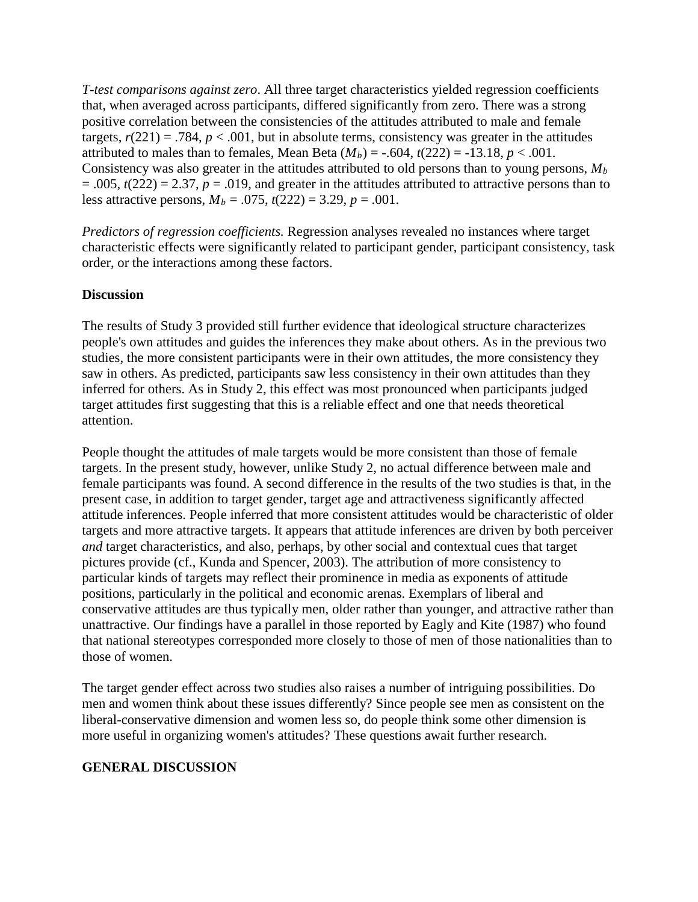*T-test comparisons against zero*. All three target characteristics yielded regression coefficients that, when averaged across participants, differed significantly from zero. There was a strong positive correlation between the consistencies of the attitudes attributed to male and female targets,  $r(221) = .784$ ,  $p < .001$ , but in absolute terms, consistency was greater in the attitudes attributed to males than to females, Mean Beta  $(M_b) = -.604$ ,  $t(222) = -13.18$ ,  $p < .001$ . Consistency was also greater in the attitudes attributed to old persons than to young persons, *Mb*  $= .005$ ,  $t(222) = 2.37$ ,  $p = .019$ , and greater in the attitudes attributed to attractive persons than to less attractive persons,  $M_b = .075$ ,  $t(222) = 3.29$ ,  $p = .001$ .

*Predictors of regression coefficients.* Regression analyses revealed no instances where target characteristic effects were significantly related to participant gender, participant consistency, task order, or the interactions among these factors.

### **Discussion**

The results of Study 3 provided still further evidence that ideological structure characterizes people's own attitudes and guides the inferences they make about others. As in the previous two studies, the more consistent participants were in their own attitudes, the more consistency they saw in others. As predicted, participants saw less consistency in their own attitudes than they inferred for others. As in Study 2, this effect was most pronounced when participants judged target attitudes first suggesting that this is a reliable effect and one that needs theoretical attention.

People thought the attitudes of male targets would be more consistent than those of female targets. In the present study, however, unlike Study 2, no actual difference between male and female participants was found. A second difference in the results of the two studies is that, in the present case, in addition to target gender, target age and attractiveness significantly affected attitude inferences. People inferred that more consistent attitudes would be characteristic of older targets and more attractive targets. It appears that attitude inferences are driven by both perceiver *and* target characteristics, and also, perhaps, by other social and contextual cues that target pictures provide (cf., Kunda and Spencer, 2003). The attribution of more consistency to particular kinds of targets may reflect their prominence in media as exponents of attitude positions, particularly in the political and economic arenas. Exemplars of liberal and conservative attitudes are thus typically men, older rather than younger, and attractive rather than unattractive. Our findings have a parallel in those reported by Eagly and Kite (1987) who found that national stereotypes corresponded more closely to those of men of those nationalities than to those of women.

The target gender effect across two studies also raises a number of intriguing possibilities. Do men and women think about these issues differently? Since people see men as consistent on the liberal-conservative dimension and women less so, do people think some other dimension is more useful in organizing women's attitudes? These questions await further research.

### **GENERAL DISCUSSION**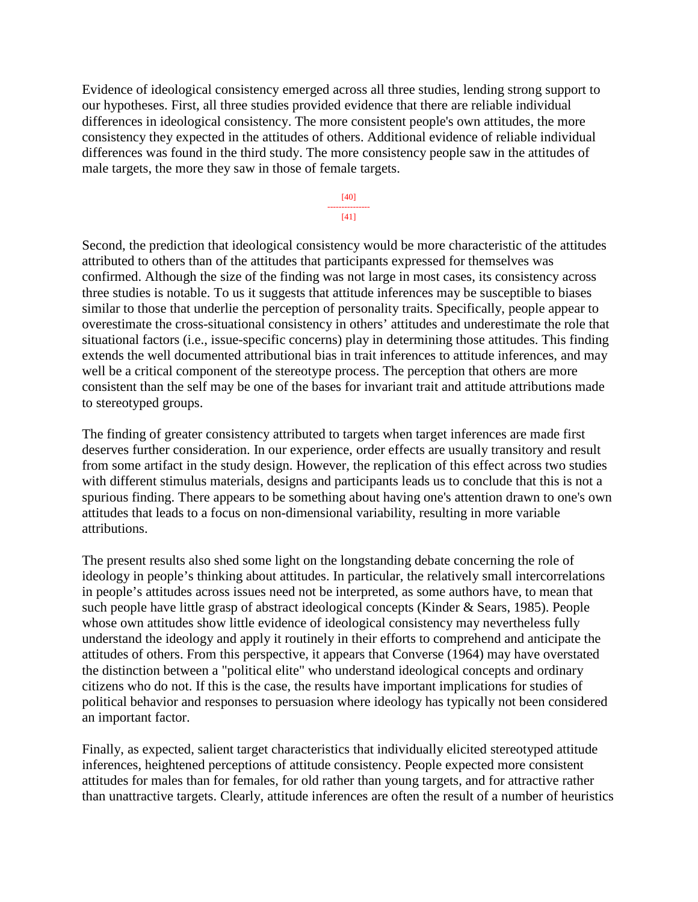Evidence of ideological consistency emerged across all three studies, lending strong support to our hypotheses. First, all three studies provided evidence that there are reliable individual differences in ideological consistency. The more consistent people's own attitudes, the more consistency they expected in the attitudes of others. Additional evidence of reliable individual differences was found in the third study. The more consistency people saw in the attitudes of male targets, the more they saw in those of female targets.

> [40] --------------- [41]

Second, the prediction that ideological consistency would be more characteristic of the attitudes attributed to others than of the attitudes that participants expressed for themselves was confirmed. Although the size of the finding was not large in most cases, its consistency across three studies is notable. To us it suggests that attitude inferences may be susceptible to biases similar to those that underlie the perception of personality traits. Specifically, people appear to overestimate the cross-situational consistency in others' attitudes and underestimate the role that situational factors (i.e., issue-specific concerns) play in determining those attitudes. This finding extends the well documented attributional bias in trait inferences to attitude inferences, and may well be a critical component of the stereotype process. The perception that others are more consistent than the self may be one of the bases for invariant trait and attitude attributions made to stereotyped groups.

The finding of greater consistency attributed to targets when target inferences are made first deserves further consideration. In our experience, order effects are usually transitory and result from some artifact in the study design. However, the replication of this effect across two studies with different stimulus materials, designs and participants leads us to conclude that this is not a spurious finding. There appears to be something about having one's attention drawn to one's own attitudes that leads to a focus on non-dimensional variability, resulting in more variable attributions.

The present results also shed some light on the longstanding debate concerning the role of ideology in people's thinking about attitudes. In particular, the relatively small intercorrelations in people's attitudes across issues need not be interpreted, as some authors have, to mean that such people have little grasp of abstract ideological concepts (Kinder & Sears, 1985). People whose own attitudes show little evidence of ideological consistency may nevertheless fully understand the ideology and apply it routinely in their efforts to comprehend and anticipate the attitudes of others. From this perspective, it appears that Converse (1964) may have overstated the distinction between a "political elite" who understand ideological concepts and ordinary citizens who do not. If this is the case, the results have important implications for studies of political behavior and responses to persuasion where ideology has typically not been considered an important factor.

Finally, as expected, salient target characteristics that individually elicited stereotyped attitude inferences, heightened perceptions of attitude consistency. People expected more consistent attitudes for males than for females, for old rather than young targets, and for attractive rather than unattractive targets. Clearly, attitude inferences are often the result of a number of heuristics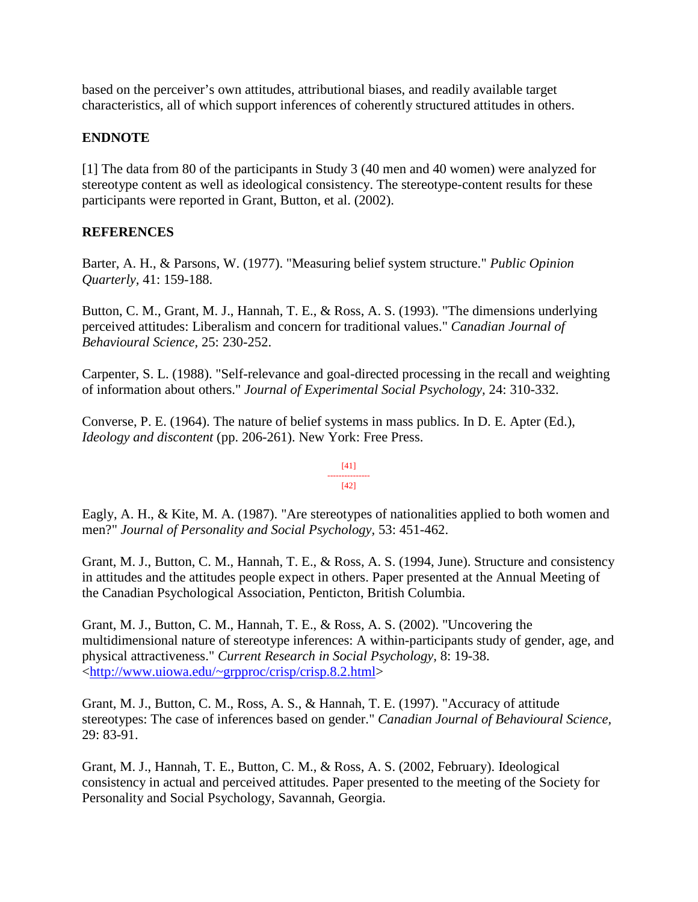based on the perceiver's own attitudes, attributional biases, and readily available target characteristics, all of which support inferences of coherently structured attitudes in others.

### **ENDNOTE**

[1] The data from 80 of the participants in Study 3 (40 men and 40 women) were analyzed for stereotype content as well as ideological consistency. The stereotype-content results for these participants were reported in Grant, Button, et al. (2002).

### **REFERENCES**

Barter, A. H., & Parsons, W. (1977). "Measuring belief system structure." *Public Opinion Quarterly,* 41: 159-188.

Button, C. M., Grant, M. J., Hannah, T. E., & Ross, A. S. (1993). "The dimensions underlying perceived attitudes: Liberalism and concern for traditional values." *Canadian Journal of Behavioural Science,* 25: 230-252.

Carpenter, S. L. (1988). "Self-relevance and goal-directed processing in the recall and weighting of information about others." *Journal of Experimental Social Psychology,* 24: 310-332.

Converse, P. E. (1964). The nature of belief systems in mass publics. In D. E. Apter (Ed.), *Ideology and discontent* (pp. 206-261). New York: Free Press.

#### [41] --------------- [42]

Eagly, A. H., & Kite, M. A. (1987). "Are stereotypes of nationalities applied to both women and men?" *Journal of Personality and Social Psychology,* 53: 451-462.

Grant, M. J., Button, C. M., Hannah, T. E., & Ross, A. S. (1994, June). Structure and consistency in attitudes and the attitudes people expect in others. Paper presented at the Annual Meeting of the Canadian Psychological Association, Penticton, British Columbia.

Grant, M. J., Button, C. M., Hannah, T. E., & Ross, A. S. (2002). "Uncovering the multidimensional nature of stereotype inferences: A within-participants study of gender, age, and physical attractiveness." *Current Research in Social Psychology,* 8: 19-38. [<http://www.uiowa.edu/~grpproc/crisp/crisp.8.2.html>](http://www.uiowa.edu/%7Egrpproc/crisp/crisp.8.2.html)

Grant, M. J., Button, C. M., Ross, A. S., & Hannah, T. E. (1997). "Accuracy of attitude stereotypes: The case of inferences based on gender." *Canadian Journal of Behavioural Science,*  29: 83-91.

Grant, M. J., Hannah, T. E., Button, C. M., & Ross, A. S. (2002, February). Ideological consistency in actual and perceived attitudes. Paper presented to the meeting of the Society for Personality and Social Psychology, Savannah, Georgia.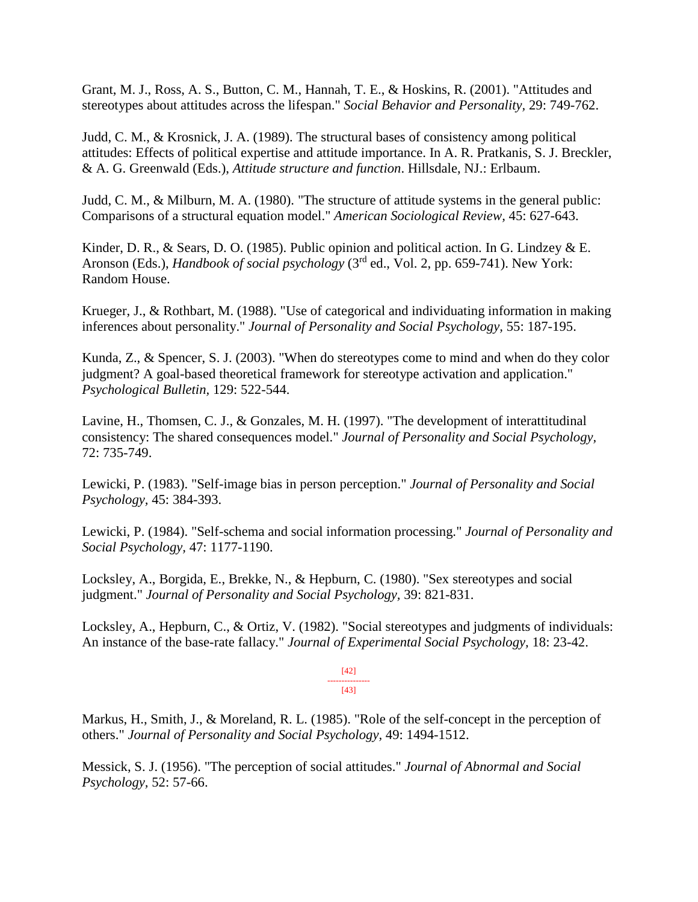Grant, M. J., Ross, A. S., Button, C. M., Hannah, T. E., & Hoskins, R. (2001). "Attitudes and stereotypes about attitudes across the lifespan." *Social Behavior and Personality,* 29: 749-762.

Judd, C. M., & Krosnick, J. A. (1989). The structural bases of consistency among political attitudes: Effects of political expertise and attitude importance. In A. R. Pratkanis, S. J. Breckler, & A. G. Greenwald (Eds.), *Attitude structure and function*. Hillsdale, NJ.: Erlbaum.

Judd, C. M., & Milburn, M. A. (1980). "The structure of attitude systems in the general public: Comparisons of a structural equation model." *American Sociological Review,* 45: 627-643.

Kinder, D. R., & Sears, D. O. (1985). Public opinion and political action. In G. Lindzey & E. Aronson (Eds.), *Handbook of social psychology* (3rd ed., Vol. 2, pp. 659-741). New York: Random House.

Krueger, J., & Rothbart, M. (1988). "Use of categorical and individuating information in making inferences about personality." *Journal of Personality and Social Psychology,* 55: 187-195.

Kunda, Z., & Spencer, S. J. (2003). "When do stereotypes come to mind and when do they color judgment? A goal-based theoretical framework for stereotype activation and application." *Psychological Bulletin,* 129: 522-544.

Lavine, H., Thomsen, C. J., & Gonzales, M. H. (1997). "The development of interattitudinal consistency: The shared consequences model." *Journal of Personality and Social Psychology,*  72: 735-749.

Lewicki, P. (1983). "Self-image bias in person perception." *Journal of Personality and Social Psychology,* 45: 384-393.

Lewicki, P. (1984). "Self-schema and social information processing." *Journal of Personality and Social Psychology,* 47: 1177-1190.

Locksley, A., Borgida, E., Brekke, N., & Hepburn, C. (1980). "Sex stereotypes and social judgment." *Journal of Personality and Social Psychology,* 39: 821-831.

Locksley, A., Hepburn, C., & Ortiz, V. (1982). "Social stereotypes and judgments of individuals: An instance of the base-rate fallacy." *Journal of Experimental Social Psychology,* 18: 23-42.

> [42] --------------- [43]

Markus, H., Smith, J., & Moreland, R. L. (1985). "Role of the self-concept in the perception of others." *Journal of Personality and Social Psychology,* 49: 1494-1512.

Messick, S. J. (1956). "The perception of social attitudes." *Journal of Abnormal and Social Psychology,* 52: 57-66.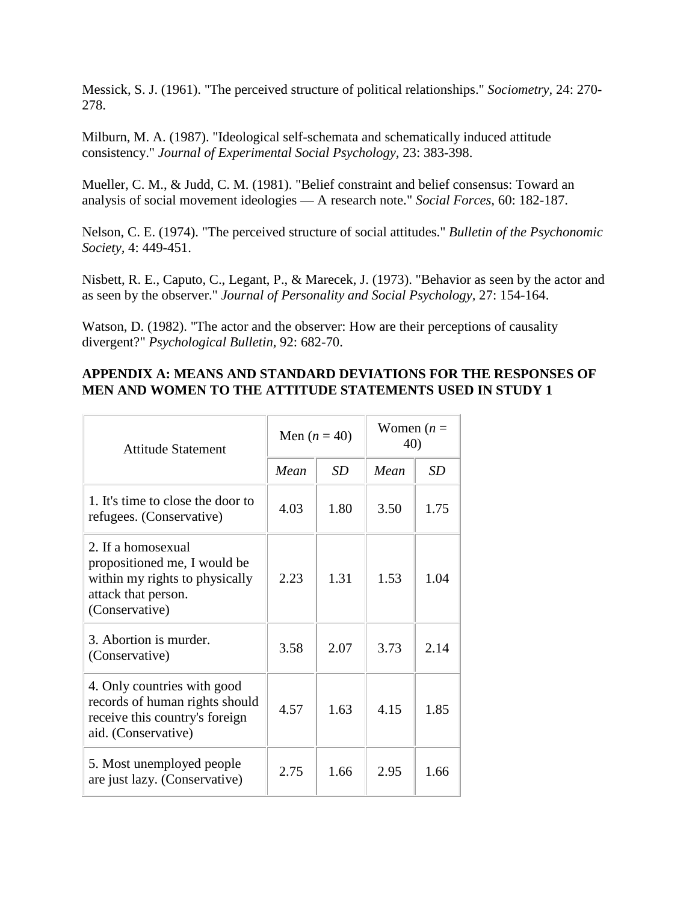Messick, S. J. (1961). "The perceived structure of political relationships." *Sociometry,* 24: 270- 278.

Milburn, M. A. (1987). "Ideological self-schemata and schematically induced attitude consistency." *Journal of Experimental Social Psychology,* 23: 383-398.

Mueller, C. M., & Judd, C. M. (1981). "Belief constraint and belief consensus: Toward an analysis of social movement ideologies — A research note." *Social Forces,* 60: 182-187.

Nelson, C. E. (1974). "The perceived structure of social attitudes." *Bulletin of the Psychonomic Society,* 4: 449-451.

Nisbett, R. E., Caputo, C., Legant, P., & Marecek, J. (1973). "Behavior as seen by the actor and as seen by the observer." *Journal of Personality and Social Psychology,* 27: 154-164.

Watson, D. (1982). "The actor and the observer: How are their perceptions of causality divergent?" *Psychological Bulletin,* 92: 682-70.

#### **APPENDIX A: MEANS AND STANDARD DEVIATIONS FOR THE RESPONSES OF MEN AND WOMEN TO THE ATTITUDE STATEMENTS USED IN STUDY 1**

| <b>Attitude Statement</b>                                                                                                     | Men $(n = 40)$ |           | Women $(n =$<br>40) |           |
|-------------------------------------------------------------------------------------------------------------------------------|----------------|-----------|---------------------|-----------|
|                                                                                                                               | Mean           | <b>SD</b> | Mean                | <b>SD</b> |
| 1. It's time to close the door to<br>refugees. (Conservative)                                                                 | 4.03           | 1.80      | 3.50                | 1.75      |
| 2. If a homosexual<br>propositioned me, I would be<br>within my rights to physically<br>attack that person.<br>(Conservative) | 2.23           | 1.31      | 1.53                | 1.04      |
| 3. Abortion is murder.<br>(Conservative)                                                                                      | 3.58           | 2.07      | 3.73                | 2.14      |
| 4. Only countries with good<br>records of human rights should<br>receive this country's foreign<br>aid. (Conservative)        | 4.57           | 1.63      | 4.15                | 1.85      |
| 5. Most unemployed people<br>are just lazy. (Conservative)                                                                    | 2.75           | 1.66      | 2.95                | 1.66      |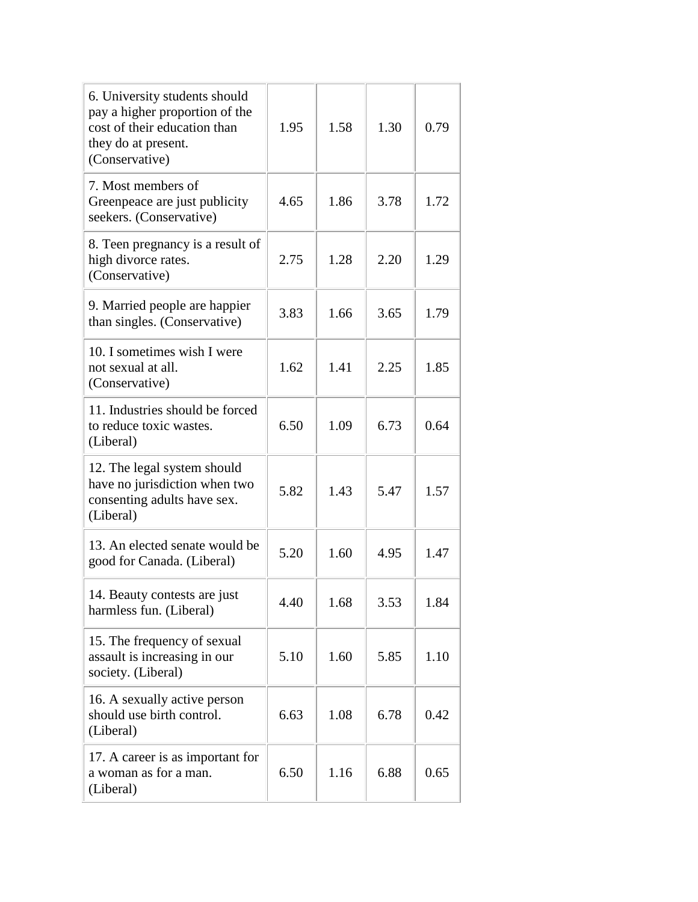| 6. University students should<br>pay a higher proportion of the<br>cost of their education than<br>they do at present.<br>(Conservative) | 1.95 | 1.58 | 1.30 | 0.79 |
|------------------------------------------------------------------------------------------------------------------------------------------|------|------|------|------|
| 7. Most members of<br>Greenpeace are just publicity<br>seekers. (Conservative)                                                           | 4.65 | 1.86 | 3.78 | 1.72 |
| 8. Teen pregnancy is a result of<br>high divorce rates.<br>(Conservative)                                                                | 2.75 | 1.28 | 2.20 | 1.29 |
| 9. Married people are happier<br>than singles. (Conservative)                                                                            | 3.83 | 1.66 | 3.65 | 1.79 |
| 10. I sometimes wish I were<br>not sexual at all.<br>(Conservative)                                                                      | 1.62 | 1.41 | 2.25 | 1.85 |
| 11. Industries should be forced<br>to reduce toxic wastes.<br>(Liberal)                                                                  | 6.50 | 1.09 | 6.73 | 0.64 |
| 12. The legal system should<br>have no jurisdiction when two<br>consenting adults have sex.<br>(Liberal)                                 | 5.82 | 1.43 | 5.47 | 1.57 |
| 13. An elected senate would be<br>good for Canada. (Liberal)                                                                             | 5.20 | 1.60 | 4.95 | 1.47 |
| 14. Beauty contests are just<br>harmless fun. (Liberal)                                                                                  | 4.40 | 1.68 | 3.53 | 1.84 |
| 15. The frequency of sexual<br>assault is increasing in our<br>society. (Liberal)                                                        | 5.10 | 1.60 | 5.85 | 1.10 |
| 16. A sexually active person<br>should use birth control.<br>(Liberal)                                                                   | 6.63 | 1.08 | 6.78 | 0.42 |
| 17. A career is as important for<br>a woman as for a man.<br>(Liberal)                                                                   | 6.50 | 1.16 | 6.88 | 0.65 |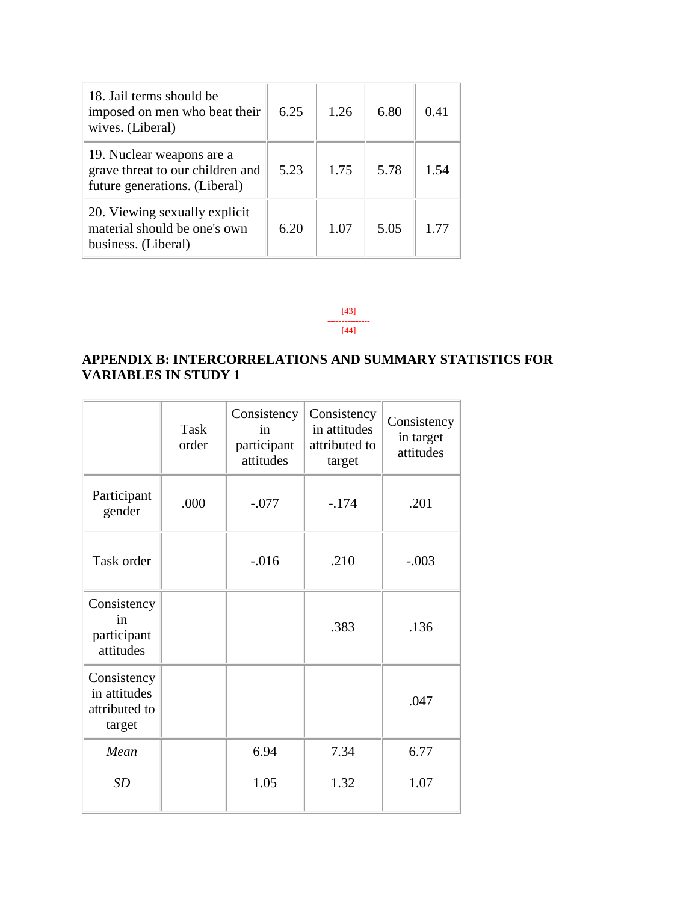| 18. Jail terms should be<br>imposed on men who beat their<br>wives. (Liberal)                  | 6.25 | 1.26 | 6.80 | 0.41 |
|------------------------------------------------------------------------------------------------|------|------|------|------|
| 19. Nuclear weapons are a<br>grave threat to our children and<br>future generations. (Liberal) | 5.23 | 1.75 | 5.78 | 1.54 |
| 20. Viewing sexually explicit<br>material should be one's own<br>business. (Liberal)           | 6.20 | 1.07 | 5.05 | 1.77 |

[43] --------------- [44]

# **APPENDIX B: INTERCORRELATIONS AND SUMMARY STATISTICS FOR VARIABLES IN STUDY 1**

|                                                        | <b>Task</b><br>order | Consistency<br>in<br>participant<br>attitudes | Consistency<br>in attitudes<br>attributed to<br>target | Consistency<br>in target<br>attitudes |
|--------------------------------------------------------|----------------------|-----------------------------------------------|--------------------------------------------------------|---------------------------------------|
| Participant<br>gender                                  | .000                 | $-.077$                                       | $-.174$                                                | .201                                  |
| Task order                                             |                      | $-0.016$                                      | .210                                                   | $-.003$                               |
| Consistency<br>in<br>participant<br>attitudes          |                      |                                               | .383                                                   | .136                                  |
| Consistency<br>in attitudes<br>attributed to<br>target |                      |                                               |                                                        | .047                                  |
| Mean                                                   |                      | 6.94                                          | 7.34                                                   | 6.77                                  |
| <b>SD</b>                                              |                      | 1.05                                          | 1.32                                                   | 1.07                                  |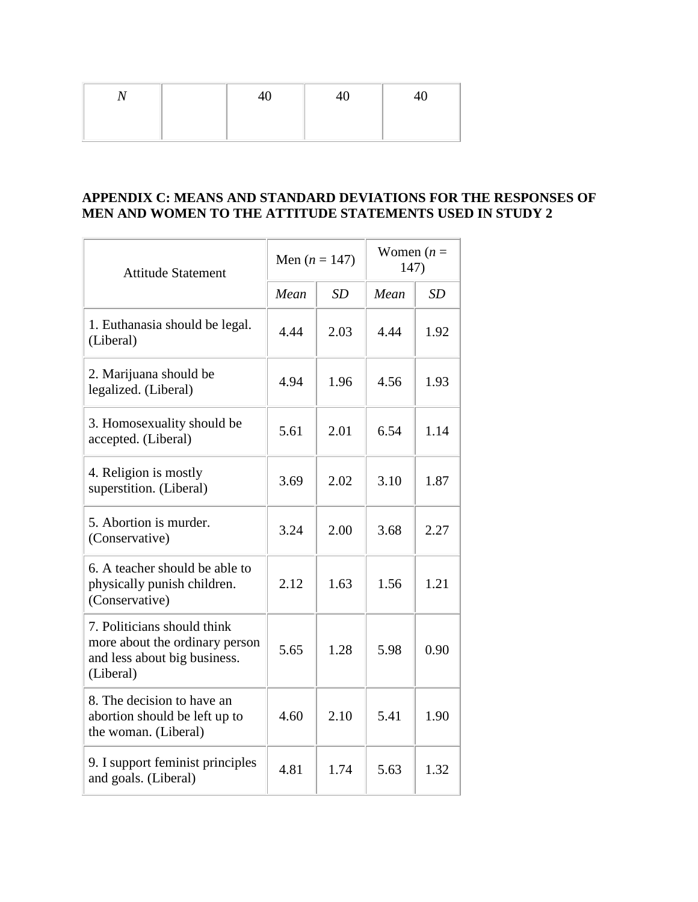|  | $40\,$ | 40 | 40 |
|--|--------|----|----|
|  |        |    |    |

### **APPENDIX C: MEANS AND STANDARD DEVIATIONS FOR THE RESPONSES OF MEN AND WOMEN TO THE ATTITUDE STATEMENTS USED IN STUDY 2**

| <b>Attitude Statement</b>                                                                                  | Men $(n = 147)$ |      | Women $(n =$<br>147) |      |
|------------------------------------------------------------------------------------------------------------|-----------------|------|----------------------|------|
|                                                                                                            | Mean            | SD   | Mean                 | SD   |
| 1. Euthanasia should be legal.<br>(Liberal)                                                                | 4.44            | 2.03 | 4.44                 | 1.92 |
| 2. Marijuana should be<br>legalized. (Liberal)                                                             | 4.94            | 1.96 | 4.56                 | 1.93 |
| 3. Homosexuality should be<br>accepted. (Liberal)                                                          | 5.61            | 2.01 | 6.54                 | 1.14 |
| 4. Religion is mostly<br>superstition. (Liberal)                                                           | 3.69            | 2.02 | 3.10                 | 1.87 |
| 5. Abortion is murder.<br>(Conservative)                                                                   | 3.24            | 2.00 | 3.68                 | 2.27 |
| 6. A teacher should be able to<br>physically punish children.<br>(Conservative)                            | 2.12            | 1.63 | 1.56                 | 1.21 |
| 7. Politicians should think<br>more about the ordinary person<br>and less about big business.<br>(Liberal) | 5.65            | 1.28 | 5.98                 | 0.90 |
| 8. The decision to have an<br>abortion should be left up to<br>the woman. (Liberal)                        | 4.60            | 2.10 | 5.41                 | 1.90 |
| 9. I support feminist principles<br>and goals. (Liberal)                                                   | 4.81            | 1.74 | 5.63                 | 1.32 |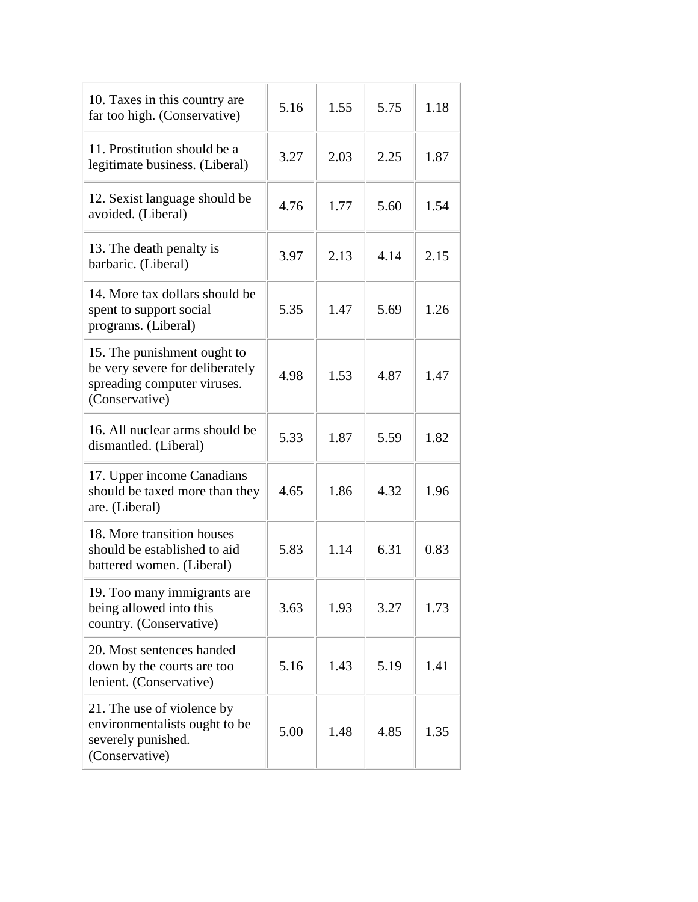| 10. Taxes in this country are<br>far too high. (Conservative)                                                   | 5.16 | 1.55 | 5.75 | 1.18 |
|-----------------------------------------------------------------------------------------------------------------|------|------|------|------|
| 11. Prostitution should be a<br>legitimate business. (Liberal)                                                  | 3.27 | 2.03 | 2.25 | 1.87 |
| 12. Sexist language should be<br>avoided. (Liberal)                                                             | 4.76 | 1.77 | 5.60 | 1.54 |
| 13. The death penalty is<br>barbaric. (Liberal)                                                                 | 3.97 | 2.13 | 4.14 | 2.15 |
| 14. More tax dollars should be<br>spent to support social<br>programs. (Liberal)                                | 5.35 | 1.47 | 5.69 | 1.26 |
| 15. The punishment ought to<br>be very severe for deliberately<br>spreading computer viruses.<br>(Conservative) | 4.98 | 1.53 | 4.87 | 1.47 |
| 16. All nuclear arms should be<br>dismantled. (Liberal)                                                         | 5.33 | 1.87 | 5.59 | 1.82 |
| 17. Upper income Canadians<br>should be taxed more than they<br>are. (Liberal)                                  | 4.65 | 1.86 | 4.32 | 1.96 |
| 18. More transition houses<br>should be established to aid<br>battered women. (Liberal)                         | 5.83 | 1.14 | 6.31 | 0.83 |
| 19. Too many immigrants are<br>being allowed into this<br>country. (Conservative)                               | 3.63 | 1.93 | 3.27 | 1.73 |
| 20. Most sentences handed<br>down by the courts are too<br>lenient. (Conservative)                              | 5.16 | 1.43 | 5.19 | 1.41 |
| 21. The use of violence by<br>environmentalists ought to be<br>severely punished.<br>(Conservative)             | 5.00 | 1.48 | 4.85 | 1.35 |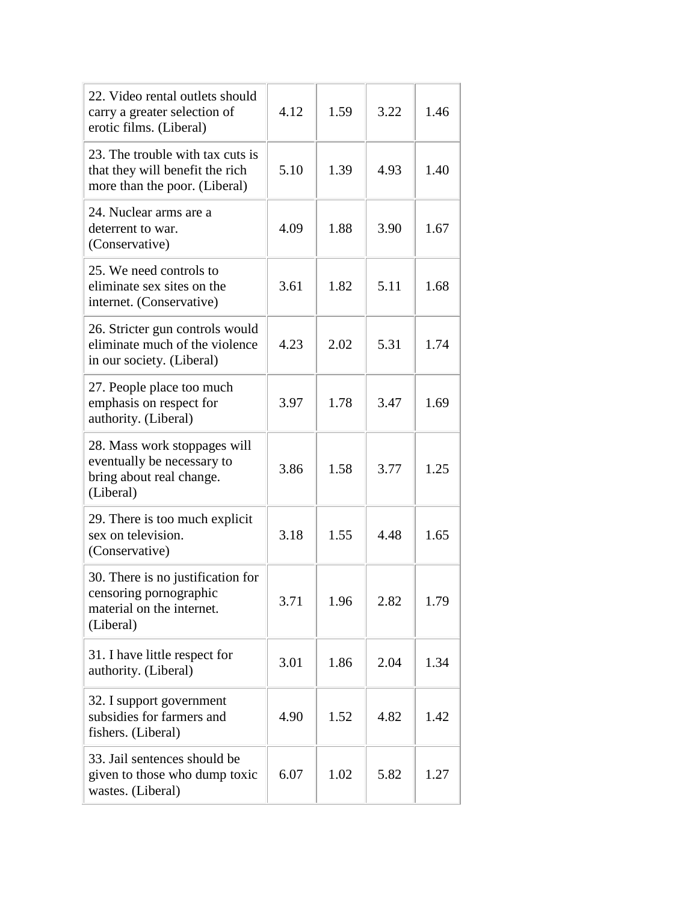| 22. Video rental outlets should<br>carry a greater selection of<br>erotic films. (Liberal)            | 4.12 | 1.59 | 3.22 | 1.46 |
|-------------------------------------------------------------------------------------------------------|------|------|------|------|
| 23. The trouble with tax cuts is<br>that they will benefit the rich<br>more than the poor. (Liberal)  | 5.10 | 1.39 | 4.93 | 1.40 |
| 24. Nuclear arms are a<br>deterrent to war.<br>(Conservative)                                         | 4.09 | 1.88 | 3.90 | 1.67 |
| 25. We need controls to<br>eliminate sex sites on the<br>internet. (Conservative)                     | 3.61 | 1.82 | 5.11 | 1.68 |
| 26. Stricter gun controls would<br>eliminate much of the violence<br>in our society. (Liberal)        | 4.23 | 2.02 | 5.31 | 1.74 |
| 27. People place too much<br>emphasis on respect for<br>authority. (Liberal)                          | 3.97 | 1.78 | 3.47 | 1.69 |
| 28. Mass work stoppages will<br>eventually be necessary to<br>bring about real change.<br>(Liberal)   | 3.86 | 1.58 | 3.77 | 1.25 |
| 29. There is too much explicit<br>sex on television.<br>(Conservative)                                | 3.18 | 1.55 | 4.48 | 1.65 |
| 30. There is no justification for<br>censoring pornographic<br>material on the internet.<br>(Liberal) | 3.71 | 1.96 | 2.82 | 1.79 |
| 31. I have little respect for<br>authority. (Liberal)                                                 | 3.01 | 1.86 | 2.04 | 1.34 |
| 32. I support government<br>subsidies for farmers and<br>fishers. (Liberal)                           | 4.90 | 1.52 | 4.82 | 1.42 |
| 33. Jail sentences should be<br>given to those who dump toxic<br>wastes. (Liberal)                    | 6.07 | 1.02 | 5.82 | 1.27 |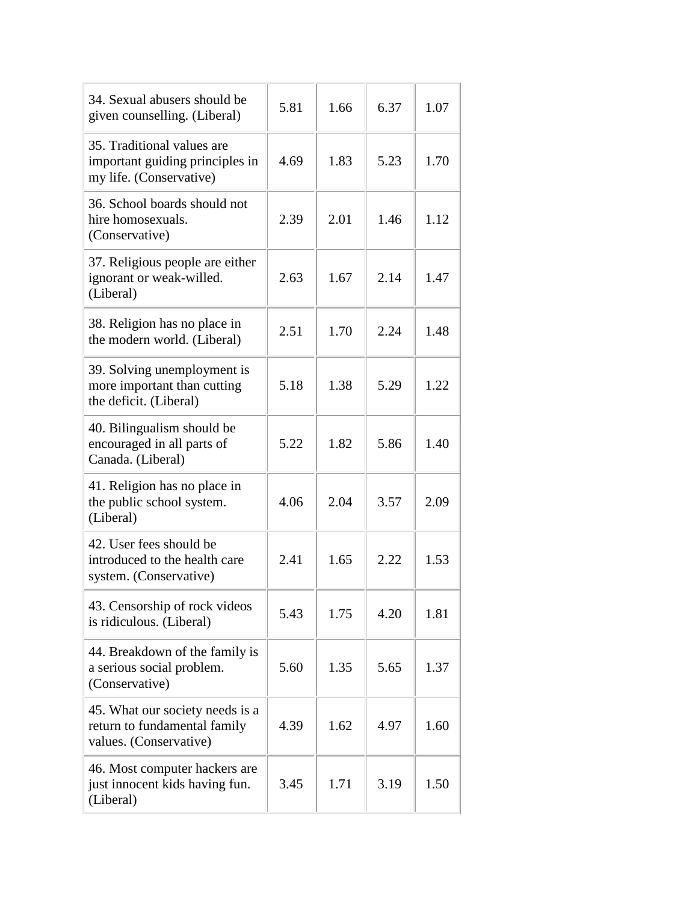| 34. Sexual abusers should be<br>given counselling. (Liberal)                              | 5.81 | 1.66 | 6.37 | 1.07 |
|-------------------------------------------------------------------------------------------|------|------|------|------|
| 35. Traditional values are<br>important guiding principles in<br>my life. (Conservative)  | 4.69 | 1.83 | 5.23 | 1.70 |
| 36. School boards should not<br>hire homosexuals.<br>(Conservative)                       | 2.39 | 2.01 | 1.46 | 1.12 |
| 37. Religious people are either<br>ignorant or weak-willed.<br>(Liberal)                  | 2.63 | 1.67 | 2.14 | 1.47 |
| 38. Religion has no place in<br>the modern world. (Liberal)                               | 2.51 | 1.70 | 2.24 | 1.48 |
| 39. Solving unemployment is<br>more important than cutting<br>the deficit. (Liberal)      | 5.18 | 1.38 | 5.29 | 1.22 |
| 40. Bilingualism should be<br>encouraged in all parts of<br>Canada. (Liberal)             | 5.22 | 1.82 | 5.86 | 1.40 |
| 41. Religion has no place in<br>the public school system.<br>(Liberal)                    | 4.06 | 2.04 | 3.57 | 2.09 |
| 42. User fees should be<br>introduced to the health care<br>system. (Conservative)        | 2.41 | 1.65 | 2.22 | 1.53 |
| 43. Censorship of rock videos<br>is ridiculous. (Liberal)                                 | 5.43 | 1.75 | 4.20 | 1.81 |
| 44. Breakdown of the family is<br>a serious social problem.<br>(Conservative)             | 5.60 | 1.35 | 5.65 | 1.37 |
| 45. What our society needs is a<br>return to fundamental family<br>values. (Conservative) | 4.39 | 1.62 | 4.97 | 1.60 |
| 46. Most computer hackers are<br>just innocent kids having fun.<br>(Liberal)              | 3.45 | 1.71 | 3.19 | 1.50 |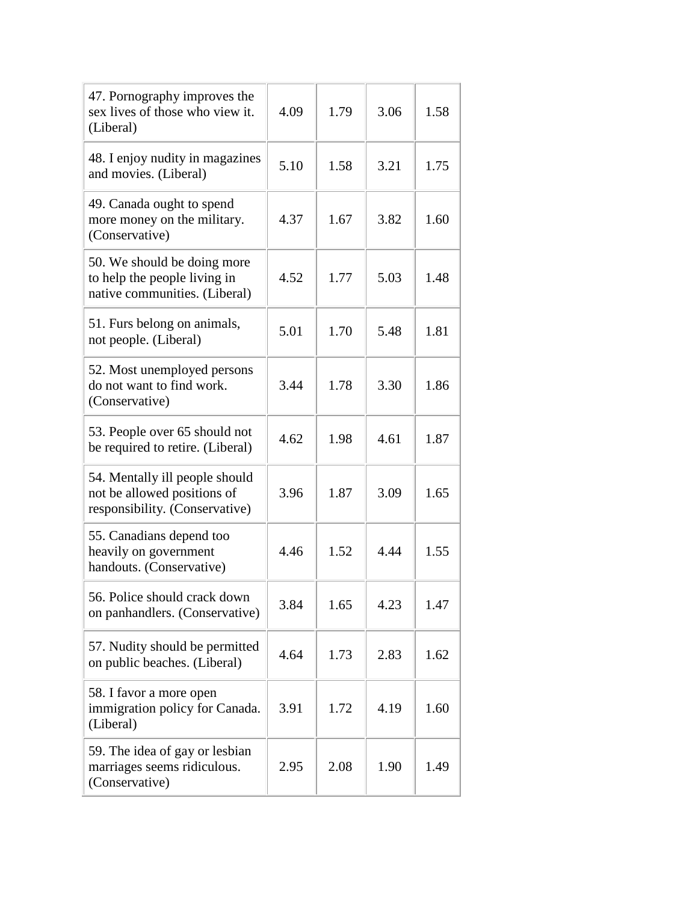| 47. Pornography improves the<br>sex lives of those who view it.<br>(Liberal)                    | 4.09 | 1.79 | 3.06 | 1.58 |
|-------------------------------------------------------------------------------------------------|------|------|------|------|
| 48. I enjoy nudity in magazines<br>and movies. (Liberal)                                        | 5.10 | 1.58 | 3.21 | 1.75 |
| 49. Canada ought to spend<br>more money on the military.<br>(Conservative)                      | 4.37 | 1.67 | 3.82 | 1.60 |
| 50. We should be doing more<br>to help the people living in<br>native communities. (Liberal)    | 4.52 | 1.77 | 5.03 | 1.48 |
| 51. Furs belong on animals,<br>not people. (Liberal)                                            | 5.01 | 1.70 | 5.48 | 1.81 |
| 52. Most unemployed persons<br>do not want to find work.<br>(Conservative)                      | 3.44 | 1.78 | 3.30 | 1.86 |
| 53. People over 65 should not<br>be required to retire. (Liberal)                               | 4.62 | 1.98 | 4.61 | 1.87 |
| 54. Mentally ill people should<br>not be allowed positions of<br>responsibility. (Conservative) | 3.96 | 1.87 | 3.09 | 1.65 |
| 55. Canadians depend too<br>heavily on government<br>handouts. (Conservative)                   | 4.46 | 1.52 | 4.44 | 1.55 |
| 56. Police should crack down<br>on panhandlers. (Conservative)                                  | 3.84 | 1.65 | 4.23 | 1.47 |
| 57. Nudity should be permitted<br>on public beaches. (Liberal)                                  | 4.64 | 1.73 | 2.83 | 1.62 |
| 58. I favor a more open<br>immigration policy for Canada.<br>(Liberal)                          | 3.91 | 1.72 | 4.19 | 1.60 |
| 59. The idea of gay or lesbian<br>marriages seems ridiculous.<br>(Conservative)                 | 2.95 | 2.08 | 1.90 | 1.49 |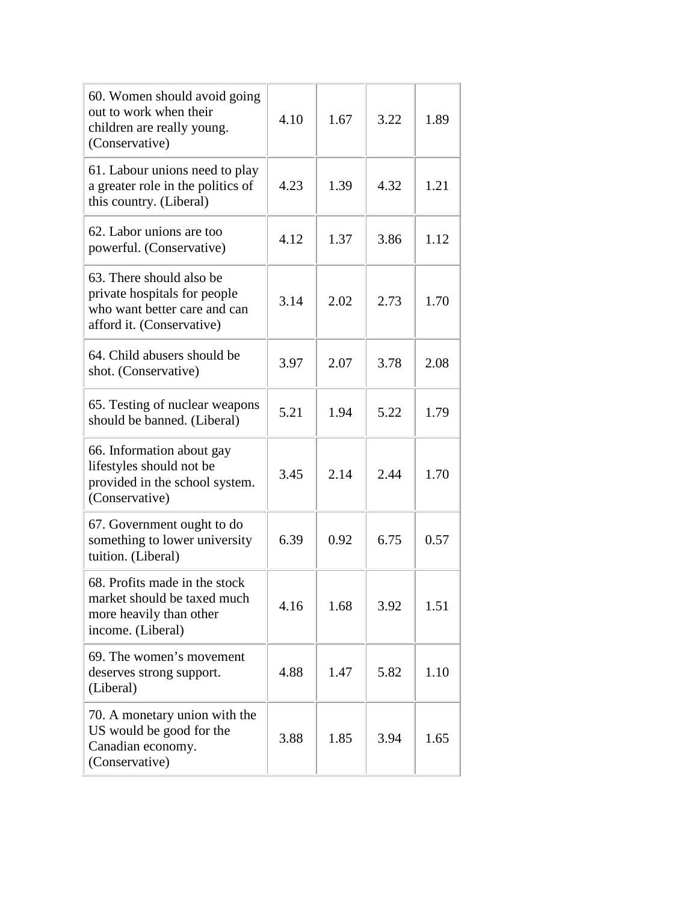| 60. Women should avoid going<br>out to work when their<br>children are really young.<br>(Conservative)                | 4.10 | 1.67 | 3.22 | 1.89 |
|-----------------------------------------------------------------------------------------------------------------------|------|------|------|------|
| 61. Labour unions need to play<br>a greater role in the politics of<br>this country. (Liberal)                        | 4.23 | 1.39 | 4.32 | 1.21 |
| 62. Labor unions are too<br>powerful. (Conservative)                                                                  | 4.12 | 1.37 | 3.86 | 1.12 |
| 63. There should also be<br>private hospitals for people<br>who want better care and can<br>afford it. (Conservative) | 3.14 | 2.02 | 2.73 | 1.70 |
| 64. Child abusers should be<br>shot. (Conservative)                                                                   | 3.97 | 2.07 | 3.78 | 2.08 |
| 65. Testing of nuclear weapons<br>should be banned. (Liberal)                                                         | 5.21 | 1.94 | 5.22 | 1.79 |
| 66. Information about gay<br>lifestyles should not be<br>provided in the school system.<br>(Conservative)             | 3.45 | 2.14 | 2.44 | 1.70 |
| 67. Government ought to do<br>something to lower university<br>tuition. (Liberal)                                     | 6.39 | 0.92 | 6.75 | 0.57 |
| 68. Profits made in the stock<br>market should be taxed much<br>more heavily than other<br>income. (Liberal)          | 4.16 | 1.68 | 3.92 | 1.51 |
| 69. The women's movement<br>deserves strong support.<br>(Liberal)                                                     | 4.88 | 1.47 | 5.82 | 1.10 |
| 70. A monetary union with the<br>US would be good for the<br>Canadian economy.<br>(Conservative)                      | 3.88 | 1.85 | 3.94 | 1.65 |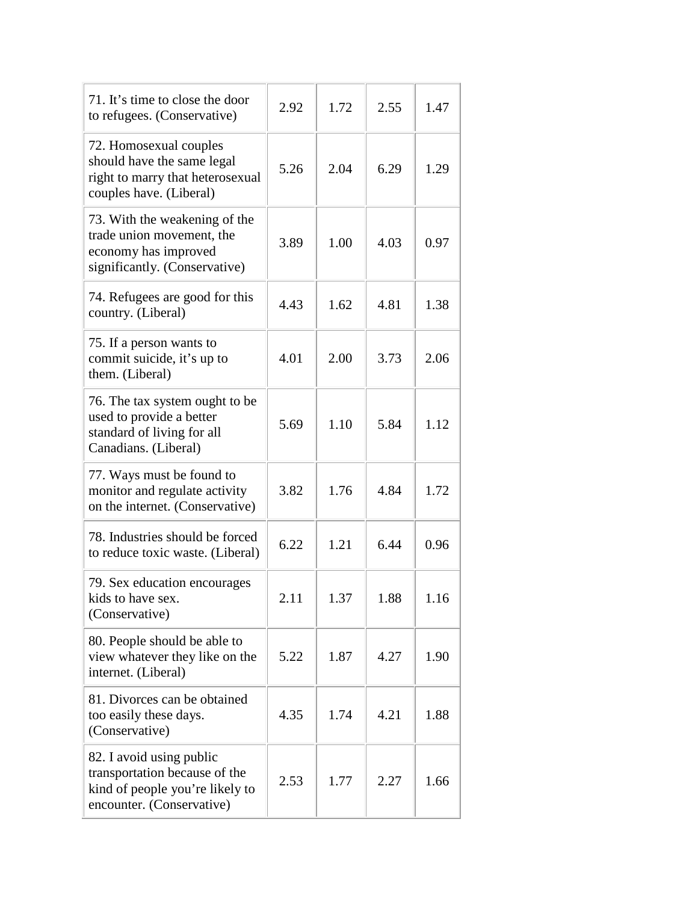| 71. It's time to close the door<br>to refugees. (Conservative)                                                            | 2.92 | 1.72 | 2.55 | 1.47 |
|---------------------------------------------------------------------------------------------------------------------------|------|------|------|------|
| 72. Homosexual couples<br>should have the same legal<br>right to marry that heterosexual<br>couples have. (Liberal)       | 5.26 | 2.04 | 6.29 | 1.29 |
| 73. With the weakening of the<br>trade union movement, the<br>economy has improved<br>significantly. (Conservative)       | 3.89 | 1.00 | 4.03 | 0.97 |
| 74. Refugees are good for this<br>country. (Liberal)                                                                      | 4.43 | 1.62 | 4.81 | 1.38 |
| 75. If a person wants to<br>commit suicide, it's up to<br>them. (Liberal)                                                 | 4.01 | 2.00 | 3.73 | 2.06 |
| 76. The tax system ought to be<br>used to provide a better<br>standard of living for all<br>Canadians. (Liberal)          | 5.69 | 1.10 | 5.84 | 1.12 |
| 77. Ways must be found to<br>monitor and regulate activity<br>on the internet. (Conservative)                             | 3.82 | 1.76 | 4.84 | 1.72 |
| 78. Industries should be forced<br>to reduce toxic waste. (Liberal)                                                       | 6.22 | 1.21 | 6.44 | 0.96 |
| 79. Sex education encourages<br>kids to have sex.<br>(Conservative)                                                       | 2.11 | 1.37 | 1.88 | 1.16 |
| 80. People should be able to<br>view whatever they like on the<br>internet. (Liberal)                                     | 5.22 | 1.87 | 4.27 | 1.90 |
| 81. Divorces can be obtained<br>too easily these days.<br>(Conservative)                                                  | 4.35 | 1.74 | 4.21 | 1.88 |
| 82. I avoid using public<br>transportation because of the<br>kind of people you're likely to<br>encounter. (Conservative) | 2.53 | 1.77 | 2.27 | 1.66 |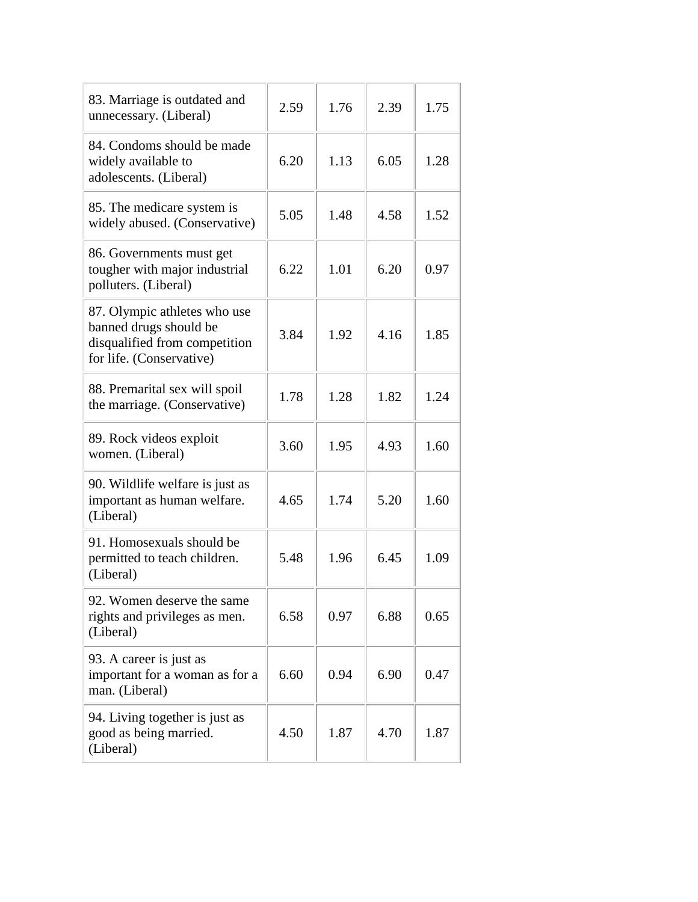| 83. Marriage is outdated and<br>unnecessary. (Liberal)                                                              | 2.59 | 1.76 | 2.39 | 1.75 |
|---------------------------------------------------------------------------------------------------------------------|------|------|------|------|
| 84. Condoms should be made<br>widely available to<br>adolescents. (Liberal)                                         | 6.20 | 1.13 | 6.05 | 1.28 |
| 85. The medicare system is<br>widely abused. (Conservative)                                                         | 5.05 | 1.48 | 4.58 | 1.52 |
| 86. Governments must get<br>tougher with major industrial<br>polluters. (Liberal)                                   | 6.22 | 1.01 | 6.20 | 0.97 |
| 87. Olympic athletes who use<br>banned drugs should be<br>disqualified from competition<br>for life. (Conservative) | 3.84 | 1.92 | 4.16 | 1.85 |
| 88. Premarital sex will spoil<br>the marriage. (Conservative)                                                       | 1.78 | 1.28 | 1.82 | 1.24 |
| 89. Rock videos exploit<br>women. (Liberal)                                                                         | 3.60 | 1.95 | 4.93 | 1.60 |
| 90. Wildlife welfare is just as<br>important as human welfare.<br>(Liberal)                                         | 4.65 | 1.74 | 5.20 | 1.60 |
| 91. Homosexuals should be<br>permitted to teach children.<br>(Liberal)                                              | 5.48 | 1.96 | 6.45 | 1.09 |
| 92. Women deserve the same<br>rights and privileges as men.<br>(Liberal)                                            | 6.58 | 0.97 | 6.88 | 0.65 |
| 93. A career is just as<br>important for a woman as for a<br>man. (Liberal)                                         | 6.60 | 0.94 | 6.90 | 0.47 |
| 94. Living together is just as<br>good as being married.<br>(Liberal)                                               | 4.50 | 1.87 | 4.70 | 1.87 |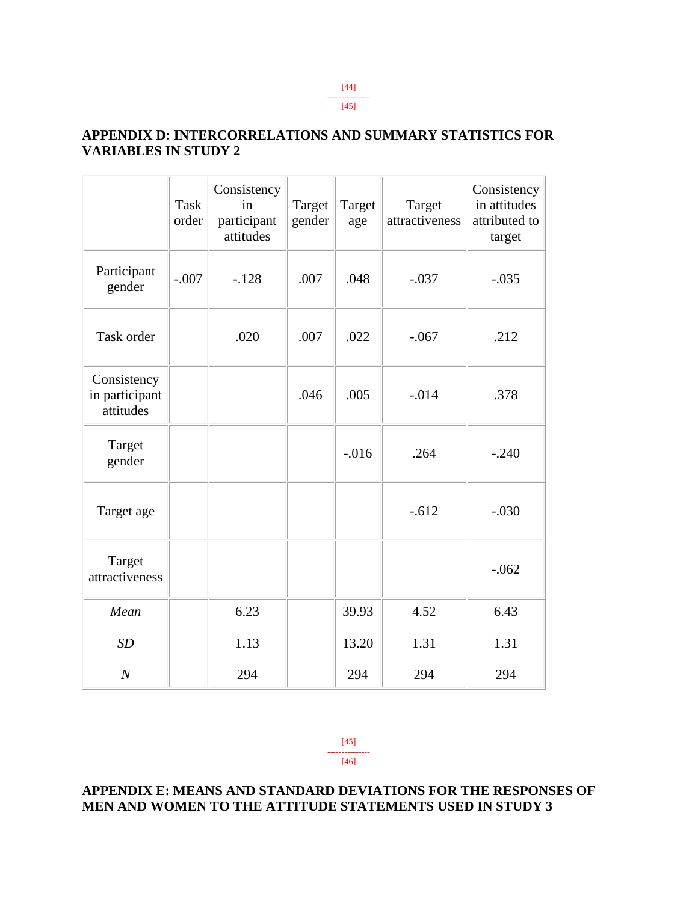### **APPENDIX D: INTERCORRELATIONS AND SUMMARY STATISTICS FOR VARIABLES IN STUDY 2**

|                                            | <b>Task</b><br>order | Consistency<br>in<br>participant<br>attitudes | Target<br>gender | Target<br>age | Target<br>attractiveness | Consistency<br>in attitudes<br>attributed to<br>target |
|--------------------------------------------|----------------------|-----------------------------------------------|------------------|---------------|--------------------------|--------------------------------------------------------|
| Participant<br>gender                      | $-.007$              | $-.128$                                       | .007             | .048          | $-.037$                  | $-.035$                                                |
| Task order                                 |                      | .020                                          | .007             | .022          | $-.067$                  | .212                                                   |
| Consistency<br>in participant<br>attitudes |                      |                                               | .046             | .005          | $-.014$                  | .378                                                   |
| Target<br>gender                           |                      |                                               |                  | $-0.016$      | .264                     | $-.240$                                                |
| Target age                                 |                      |                                               |                  |               | $-.612$                  | $-.030$                                                |
| Target<br>attractiveness                   |                      |                                               |                  |               |                          | $-.062$                                                |
| Mean                                       |                      | 6.23                                          |                  | 39.93         | 4.52                     | 6.43                                                   |
| SD                                         |                      | 1.13                                          |                  | 13.20         | 1.31                     | 1.31                                                   |
| $\boldsymbol{N}$                           |                      | 294                                           |                  | 294           | 294                      | 294                                                    |

[45] --------------- [46]

### **APPENDIX E: MEANS AND STANDARD DEVIATIONS FOR THE RESPONSES OF MEN AND WOMEN TO THE ATTITUDE STATEMENTS USED IN STUDY 3**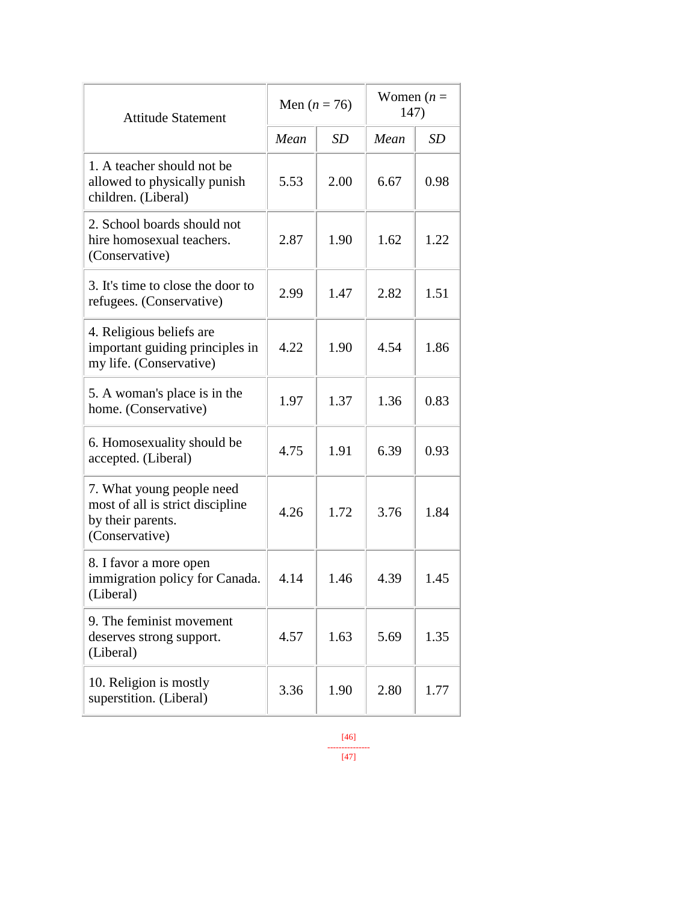| <b>Attitude Statement</b>                                                                            | Men $(n = 76)$ |           | Women $(n =$<br>147) |      |
|------------------------------------------------------------------------------------------------------|----------------|-----------|----------------------|------|
|                                                                                                      | Mean           | <b>SD</b> | Mean                 | SD   |
| 1. A teacher should not be<br>allowed to physically punish<br>children. (Liberal)                    | 5.53           | 2.00      | 6.67                 | 0.98 |
| 2. School boards should not<br>hire homosexual teachers.<br>(Conservative)                           | 2.87           | 1.90      | 1.62                 | 1.22 |
| 3. It's time to close the door to<br>refugees. (Conservative)                                        | 2.99           | 1.47      | 2.82                 | 1.51 |
| 4. Religious beliefs are<br>important guiding principles in<br>my life. (Conservative)               | 4.22           | 1.90      | 4.54                 | 1.86 |
| 5. A woman's place is in the<br>home. (Conservative)                                                 | 1.97           | 1.37      | 1.36                 | 0.83 |
| 6. Homosexuality should be<br>accepted. (Liberal)                                                    | 4.75           | 1.91      | 6.39                 | 0.93 |
| 7. What young people need<br>most of all is strict discipline<br>by their parents.<br>(Conservative) | 4.26           | 1.72      | 3.76                 | 1.84 |
| 8. I favor a more open<br>immigration policy for Canada.<br>(Liberal)                                | 4.14           | 1.46      | 4.39                 | 1.45 |
| 9. The feminist movement<br>deserves strong support.<br>(Liberal)                                    | 4.57           | 1.63      | 5.69                 | 1.35 |
| 10. Religion is mostly<br>superstition. (Liberal)                                                    | 3.36           | 1.90      | 2.80                 | 1.77 |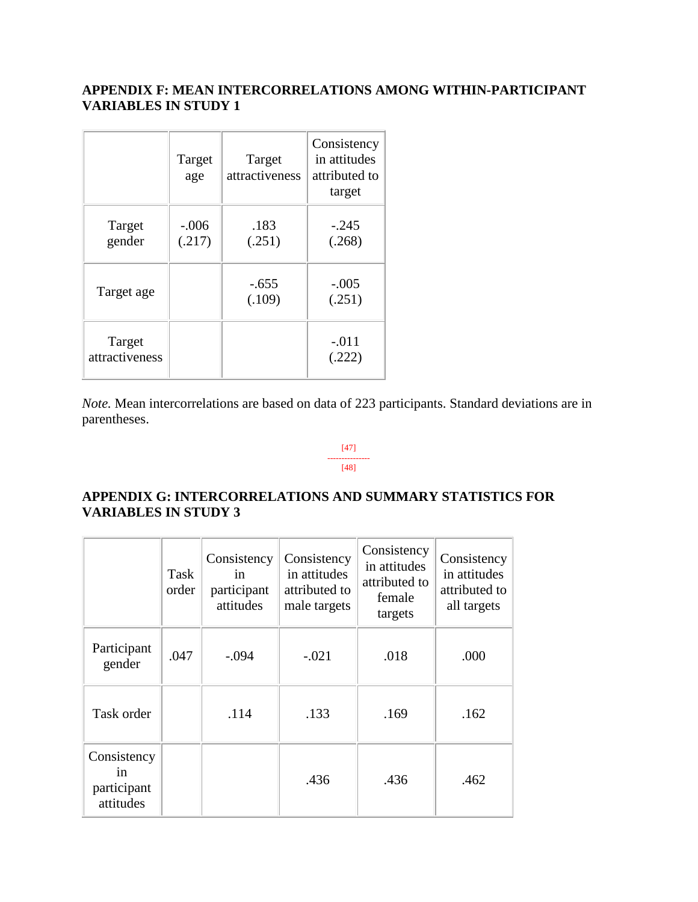### **APPENDIX F: MEAN INTERCORRELATIONS AMONG WITHIN-PARTICIPANT VARIABLES IN STUDY 1**

|                          | Target<br>age     | Target<br>attractiveness | Consistency<br>in attitudes<br>attributed to<br>target |
|--------------------------|-------------------|--------------------------|--------------------------------------------------------|
| Target<br>gender         | $-.006$<br>(.217) | .183<br>(.251)           | $-.245$<br>(.268)                                      |
| Target age               |                   | $-.655$<br>(.109)        | $-.005$<br>(.251)                                      |
| Target<br>attractiveness |                   |                          | $-.011$<br>(.222)                                      |

<u> La Carlo de la Carlo de la Carlo de la Carlo de la Carlo de la Carlo de la Carlo de la Carlo de la Carlo de l</u>

*Note.* Mean intercorrelations are based on data of 223 participants. Standard deviations are in parentheses.

#### [47] --------------- [48]

 $\overline{\phantom{a}}$ 

### **APPENDIX G: INTERCORRELATIONS AND SUMMARY STATISTICS FOR VARIABLES IN STUDY 3**

|                                               | Task<br>order | Consistency<br>in<br>participant<br>attitudes | Consistency<br>in attitudes<br>attributed to<br>male targets | Consistency<br>in attitudes<br>attributed to<br>female<br>targets | Consistency<br>in attitudes<br>attributed to<br>all targets |
|-----------------------------------------------|---------------|-----------------------------------------------|--------------------------------------------------------------|-------------------------------------------------------------------|-------------------------------------------------------------|
| Participant<br>gender                         | .047          | $-.094$                                       | $-.021$                                                      | .018                                                              | .000                                                        |
| Task order                                    |               | .114                                          | .133                                                         | .169                                                              | .162                                                        |
| Consistency<br>in<br>participant<br>attitudes |               |                                               | .436                                                         | .436                                                              | .462                                                        |